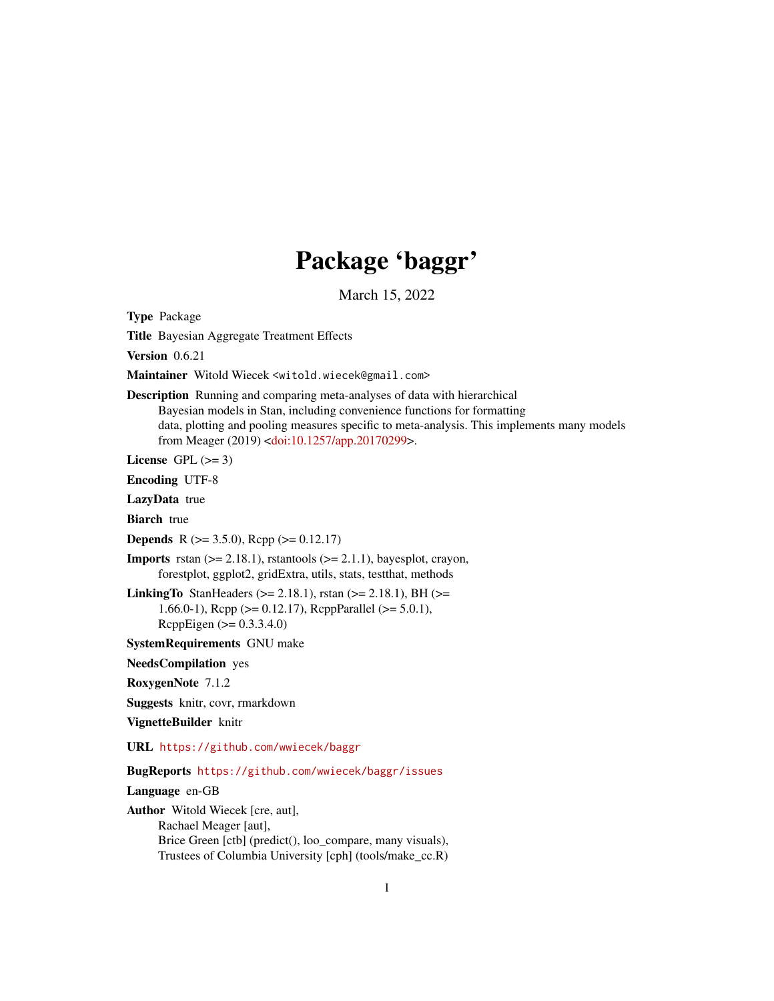# Package 'baggr'

March 15, 2022

<span id="page-0-0"></span>Type Package

Title Bayesian Aggregate Treatment Effects

Version 0.6.21

Maintainer Witold Wiecek <witold.wiecek@gmail.com>

Description Running and comparing meta-analyses of data with hierarchical Bayesian models in Stan, including convenience functions for formatting data, plotting and pooling measures specific to meta-analysis. This implements many models from Meager (2019) [<doi:10.1257/app.20170299>](https://doi.org/10.1257/app.20170299).

License GPL  $(>= 3)$ 

Encoding UTF-8

LazyData true

**Biarch** true

**Depends** R ( $>= 3.5.0$ ), Rcpp ( $>= 0.12.17$ )

**Imports** rstan  $(>= 2.18.1)$ , rstantools  $(>= 2.1.1)$ , bayesplot, crayon, forestplot, ggplot2, gridExtra, utils, stats, testthat, methods

LinkingTo StanHeaders ( $>= 2.18.1$ ), rstan ( $>= 2.18.1$ ), BH ( $>=$ 1.66.0-1), Rcpp (>= 0.12.17), RcppParallel (>= 5.0.1), RcppEigen (>= 0.3.3.4.0)

SystemRequirements GNU make

NeedsCompilation yes

RoxygenNote 7.1.2

Suggests knitr, covr, rmarkdown

VignetteBuilder knitr

URL <https://github.com/wwiecek/baggr>

BugReports <https://github.com/wwiecek/baggr/issues>

Language en-GB

Author Witold Wiecek [cre, aut], Rachael Meager [aut], Brice Green [ctb] (predict(), loo\_compare, many visuals), Trustees of Columbia University [cph] (tools/make\_cc.R)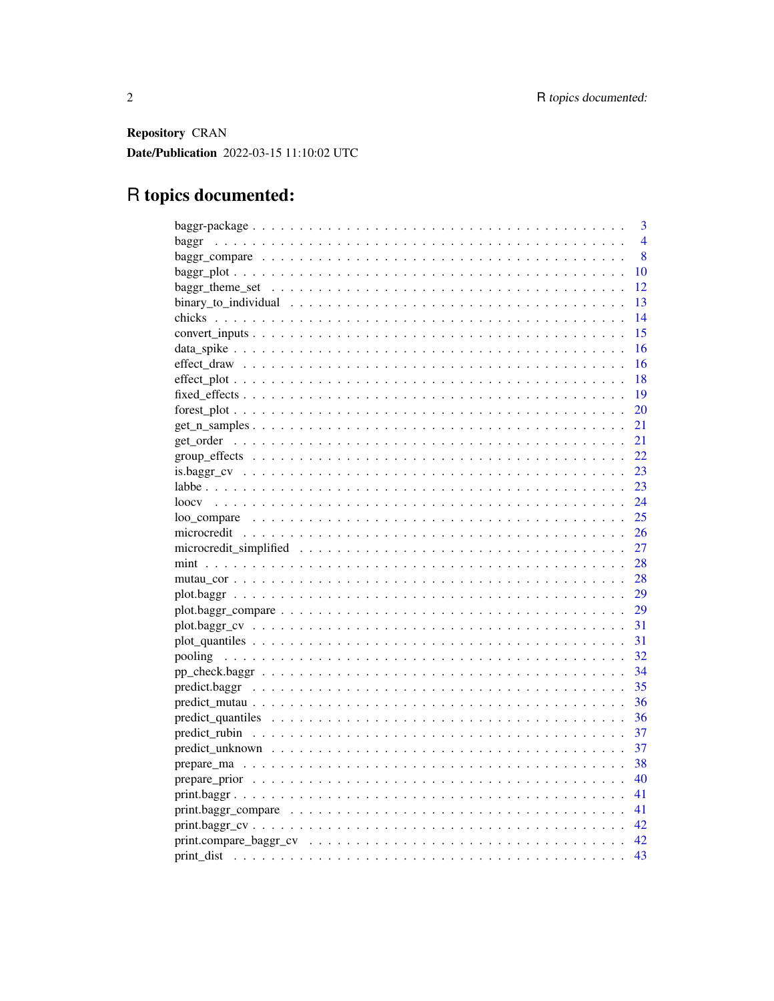Repository CRAN Date/Publication 2022-03-15 11:10:02 UTC

# R topics documented:

| 3                                                                                                               |
|-----------------------------------------------------------------------------------------------------------------|
| 4<br>baggr                                                                                                      |
| 8                                                                                                               |
| 10                                                                                                              |
| 12                                                                                                              |
| 13                                                                                                              |
| 14                                                                                                              |
| -15                                                                                                             |
| -16                                                                                                             |
| 16                                                                                                              |
| 18                                                                                                              |
| 19                                                                                                              |
| <b>20</b>                                                                                                       |
| 21                                                                                                              |
| 21                                                                                                              |
|                                                                                                                 |
|                                                                                                                 |
| - 23                                                                                                            |
| 24                                                                                                              |
| 25                                                                                                              |
|                                                                                                                 |
| 27                                                                                                              |
| - 28                                                                                                            |
| 28                                                                                                              |
| 29                                                                                                              |
| 29<br>$plot.baggr\_compare \ldots \ldots \ldots \ldots \ldots \ldots \ldots \ldots \ldots \ldots \ldots \ldots$ |
| -31                                                                                                             |
| -31                                                                                                             |
| 32                                                                                                              |
| - 34                                                                                                            |
| 35                                                                                                              |
| -36                                                                                                             |
| 36                                                                                                              |
| 37                                                                                                              |
| 37                                                                                                              |
| 38                                                                                                              |
| - 40                                                                                                            |
| -41                                                                                                             |
|                                                                                                                 |
|                                                                                                                 |
|                                                                                                                 |
| 43                                                                                                              |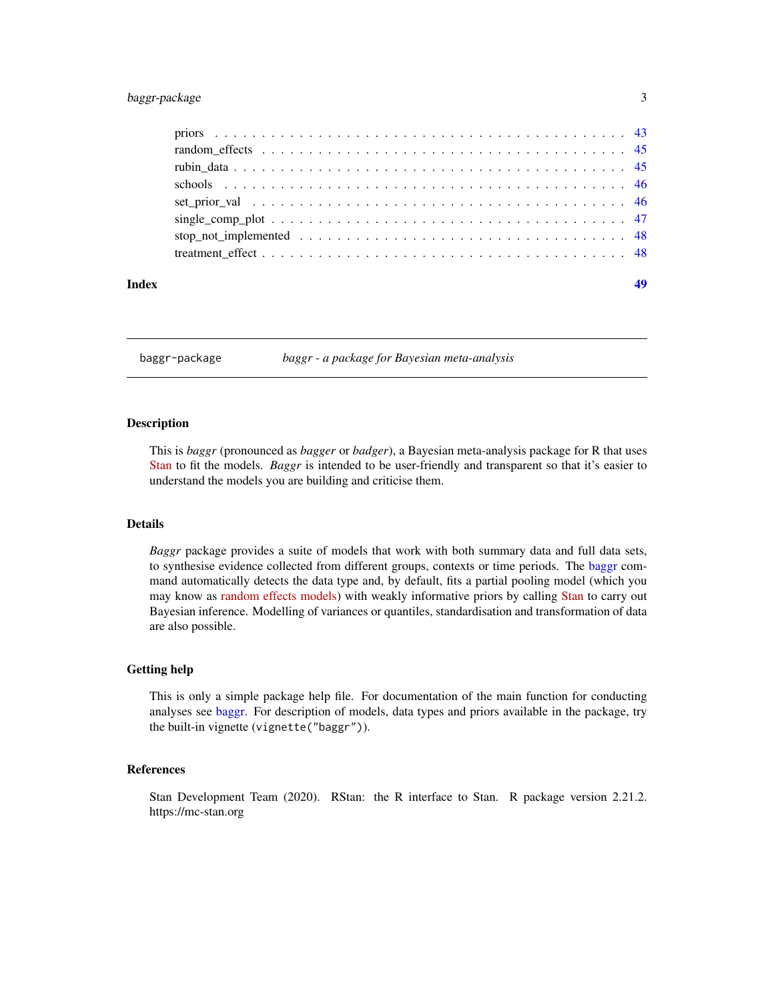## <span id="page-2-0"></span>baggr-package 3

| Index |  |
|-------|--|
|       |  |
|       |  |
|       |  |
|       |  |
|       |  |
|       |  |
|       |  |
|       |  |

<span id="page-2-1"></span>baggr-package *baggr - a package for Bayesian meta-analysis*

#### Description

This is *baggr* (pronounced as *bagger* or *badger*), a Bayesian meta-analysis package for R that uses [Stan](https://mc-stan.org/) to fit the models. *Baggr* is intended to be user-friendly and transparent so that it's easier to understand the models you are building and criticise them.

#### Details

*Baggr* package provides a suite of models that work with both summary data and full data sets, to synthesise evidence collected from different groups, contexts or time periods. The [baggr](#page-3-1) command automatically detects the data type and, by default, fits a partial pooling model (which you may know as [random effects models\)](https://stats.stackexchange.com/questions/4700/what-is-the-difference-between-fixed-effect-random-effect-and-mixed-effect-mode) with weakly informative priors by calling [Stan](https://mc-stan.org/) to carry out Bayesian inference. Modelling of variances or quantiles, standardisation and transformation of data are also possible.

#### Getting help

This is only a simple package help file. For documentation of the main function for conducting analyses see [baggr.](#page-3-1) For description of models, data types and priors available in the package, try the built-in vignette (vignette("baggr")).

#### References

Stan Development Team (2020). RStan: the R interface to Stan. R package version 2.21.2. https://mc-stan.org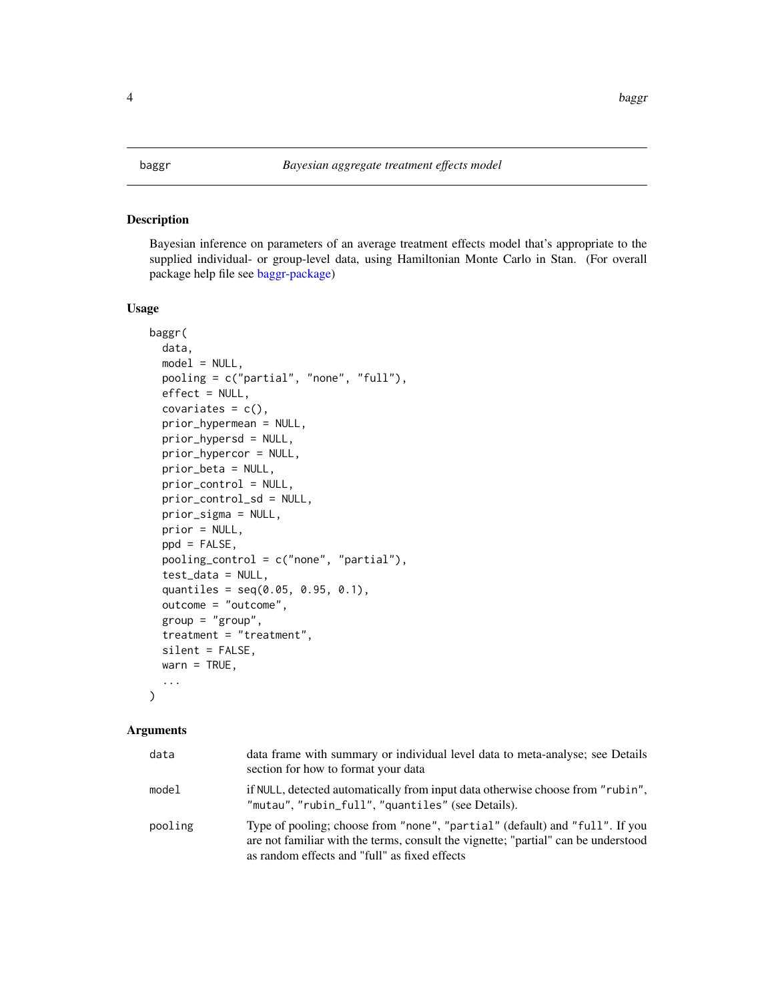<span id="page-3-1"></span><span id="page-3-0"></span>Bayesian inference on parameters of an average treatment effects model that's appropriate to the supplied individual- or group-level data, using Hamiltonian Monte Carlo in Stan. (For overall package help file see [baggr-package\)](#page-2-1)

## Usage

```
baggr(
  data,
  model = NULL,pooling = c("partial", "none", "full"),
 effect = NULL,
  covariates = c(),
  prior_hypermean = NULL,
  prior_hypersd = NULL,
  prior_hypercor = NULL,
  prior_beta = NULL,
 prior_control = NULL,
 prior_control_sd = NULL,
  prior_sigma = NULL,
  prior = NULL,
 ppd = FALSE,pooling_control = c("none", "partial"),
  test_data = NULL,
  quantiles = seq(0.05, 0.95, 0.1),
  outcome = "outcome",
  group = "group",treatment = "treatment",
  silent = FALSE,
  wan = TRUE,...
\mathcal{E}
```
## Arguments

| data    | data frame with summary or individual level data to meta-analyse; see Details<br>section for how to format your data                                                                                               |
|---------|--------------------------------------------------------------------------------------------------------------------------------------------------------------------------------------------------------------------|
| model   | if NULL, detected automatically from input data otherwise choose from "rubin",<br>"mutau", "rubin_full", "quantiles" (see Details).                                                                                |
| pooling | Type of pooling; choose from "none", "partial" (default) and "full". If you<br>are not familiar with the terms, consult the vignette; "partial" can be understood<br>as random effects and "full" as fixed effects |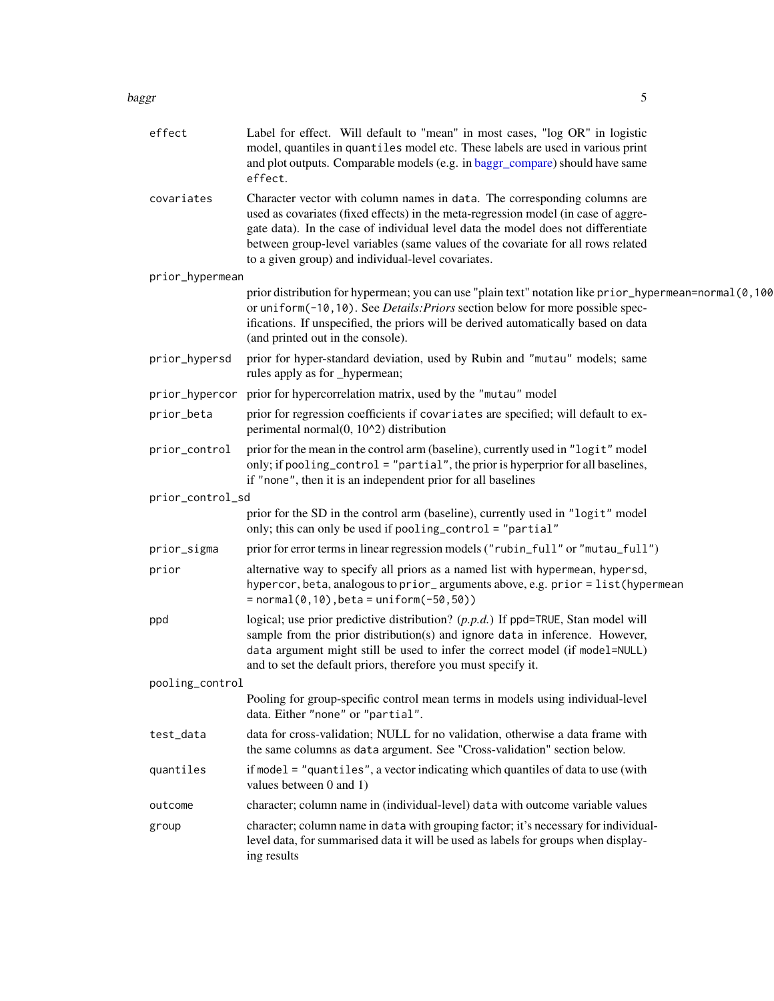#### <span id="page-4-0"></span>baggr 55 to 1999 to 1999 to 1999 to 1999 to 1999 to 1999 to 1999 to 1999 to 1999 to 1999 to 1999 to 1999 to 19

| effect           | Label for effect. Will default to "mean" in most cases, "log OR" in logistic<br>model, quantiles in quantiles model etc. These labels are used in various print<br>and plot outputs. Comparable models (e.g. in baggr_compare) should have same<br>effect.                                                                                                                                     |
|------------------|------------------------------------------------------------------------------------------------------------------------------------------------------------------------------------------------------------------------------------------------------------------------------------------------------------------------------------------------------------------------------------------------|
| covariates       | Character vector with column names in data. The corresponding columns are<br>used as covariates (fixed effects) in the meta-regression model (in case of aggre-<br>gate data). In the case of individual level data the model does not differentiate<br>between group-level variables (same values of the covariate for all rows related<br>to a given group) and individual-level covariates. |
| prior_hypermean  |                                                                                                                                                                                                                                                                                                                                                                                                |
|                  | prior distribution for hypermean; you can use "plain text" notation like prior_hypermean=normal(0,100<br>or uniform(-10, 10). See <i>Details: Priors</i> section below for more possible spec-<br>ifications. If unspecified, the priors will be derived automatically based on data<br>(and printed out in the console).                                                                      |
| prior_hypersd    | prior for hyper-standard deviation, used by Rubin and "mutau" models; same<br>rules apply as for _hypermean;                                                                                                                                                                                                                                                                                   |
| prior_hypercor   | prior for hypercorrelation matrix, used by the "mutau" model                                                                                                                                                                                                                                                                                                                                   |
| prior_beta       | prior for regression coefficients if covariates are specified; will default to ex-<br>perimental normal(0, 10^2) distribution                                                                                                                                                                                                                                                                  |
| prior_control    | prior for the mean in the control arm (baseline), currently used in "logit" model<br>only; if pooling_control = "partial", the prior is hyperprior for all baselines,<br>if "none", then it is an independent prior for all baselines                                                                                                                                                          |
| prior_control_sd |                                                                                                                                                                                                                                                                                                                                                                                                |
|                  | prior for the SD in the control arm (baseline), currently used in "logit" model<br>only; this can only be used if pooling_control = "partial"                                                                                                                                                                                                                                                  |
| prior_sigma      | prior for error terms in linear regression models ("rubin_full" or "mutau_full")                                                                                                                                                                                                                                                                                                               |
| prior            | alternative way to specify all priors as a named list with hypermean, hypersd,<br>hypercor, beta, analogous to prior_arguments above, e.g. prior = list(hypermean<br>$= normal(0, 10)$ , beta = uniform(-50,50))                                                                                                                                                                               |
| ppd              | logical; use prior predictive distribution? $(p.p.d.)$ If ppd=TRUE, Stan model will<br>sample from the prior distribution(s) and ignore data in inference. However,<br>data argument might still be used to infer the correct model (if model=NULL)<br>and to set the default priors, therefore you must specify it.                                                                           |
| pooling_control  |                                                                                                                                                                                                                                                                                                                                                                                                |
|                  | Pooling for group-specific control mean terms in models using individual-level<br>data. Either "none" or "partial".                                                                                                                                                                                                                                                                            |
| test_data        | data for cross-validation; NULL for no validation, otherwise a data frame with<br>the same columns as data argument. See "Cross-validation" section below.                                                                                                                                                                                                                                     |
| quantiles        | if model $=$ "quantiles", a vector indicating which quantiles of data to use (with<br>values between 0 and 1)                                                                                                                                                                                                                                                                                  |
| outcome          | character; column name in (individual-level) data with outcome variable values                                                                                                                                                                                                                                                                                                                 |
| group            | character; column name in data with grouping factor; it's necessary for individual-<br>level data, for summarised data it will be used as labels for groups when display-<br>ing results                                                                                                                                                                                                       |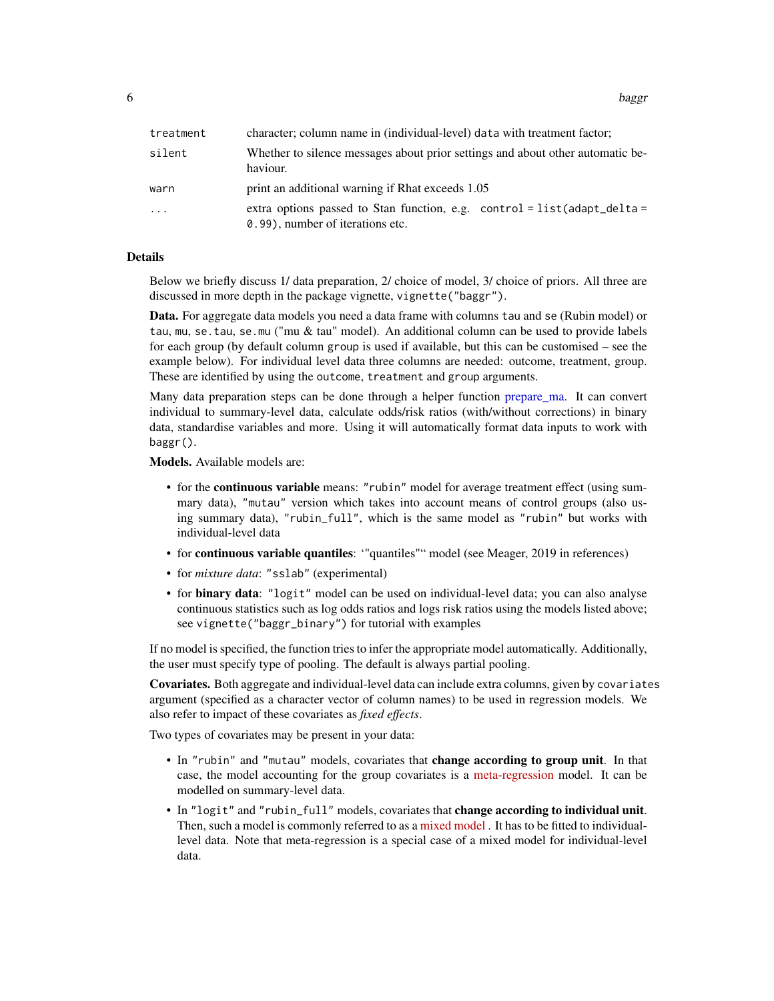<span id="page-5-0"></span>6 bagging the control of the control of the control of the control of the control of the control of the control of the control of the control of the control of the control of the control of the control of the control of th

| treatment | character; column name in (individual-level) data with treatment factor;                                        |
|-----------|-----------------------------------------------------------------------------------------------------------------|
| silent    | Whether to silence messages about prior settings and about other automatic be-<br>haviour.                      |
| warn      | print an additional warning if Rhat exceeds 1.05                                                                |
| .         | extra options passed to Stan function, e.g. control = $list(adapt\_delta =$<br>0.99), number of iterations etc. |

## Details

Below we briefly discuss 1/ data preparation, 2/ choice of model, 3/ choice of priors. All three are discussed in more depth in the package vignette, vignette("baggr").

Data. For aggregate data models you need a data frame with columns tau and se (Rubin model) or tau, mu, se.tau, se.mu ("mu & tau" model). An additional column can be used to provide labels for each group (by default column group is used if available, but this can be customised – see the example below). For individual level data three columns are needed: outcome, treatment, group. These are identified by using the outcome, treatment and group arguments.

Many data preparation steps can be done through a helper function [prepare\\_ma.](#page-37-1) It can convert individual to summary-level data, calculate odds/risk ratios (with/without corrections) in binary data, standardise variables and more. Using it will automatically format data inputs to work with baggr().

Models. Available models are:

- for the **continuous variable** means: "rubin" model for average treatment effect (using summary data), "mutau" version which takes into account means of control groups (also using summary data), "rubin\_full", which is the same model as "rubin" but works with individual-level data
- for continuous variable quantiles: '"quantiles"" model (see Meager, 2019 in references)
- for *mixture data*: "sslab" (experimental)
- for **binary data**: "logit" model can be used on individual-level data; you can also analyse continuous statistics such as log odds ratios and logs risk ratios using the models listed above; see vignette("baggr\_binary") for tutorial with examples

If no model is specified, the function tries to infer the appropriate model automatically. Additionally, the user must specify type of pooling. The default is always partial pooling.

Covariates. Both aggregate and individual-level data can include extra columns, given by covariates argument (specified as a character vector of column names) to be used in regression models. We also refer to impact of these covariates as *fixed effects*.

Two types of covariates may be present in your data:

- In "rubin" and "mutau" models, covariates that change according to group unit. In that case, the model accounting for the group covariates is a [meta-regression](https://handbook-5-1.cochrane.org/chapter_9/9_6_4_meta_regression.htm) model. It can be modelled on summary-level data.
- In "logit" and "rubin\_full" models, covariates that **change according to individual unit**. Then, such a model is commonly referred to as a [mixed model](https://stats.stackexchange.com/questions/4700/what-is-the-difference-between-fixed-effect-random-effect-and-mixed-effect-mode/252888). It has to be fitted to individuallevel data. Note that meta-regression is a special case of a mixed model for individual-level data.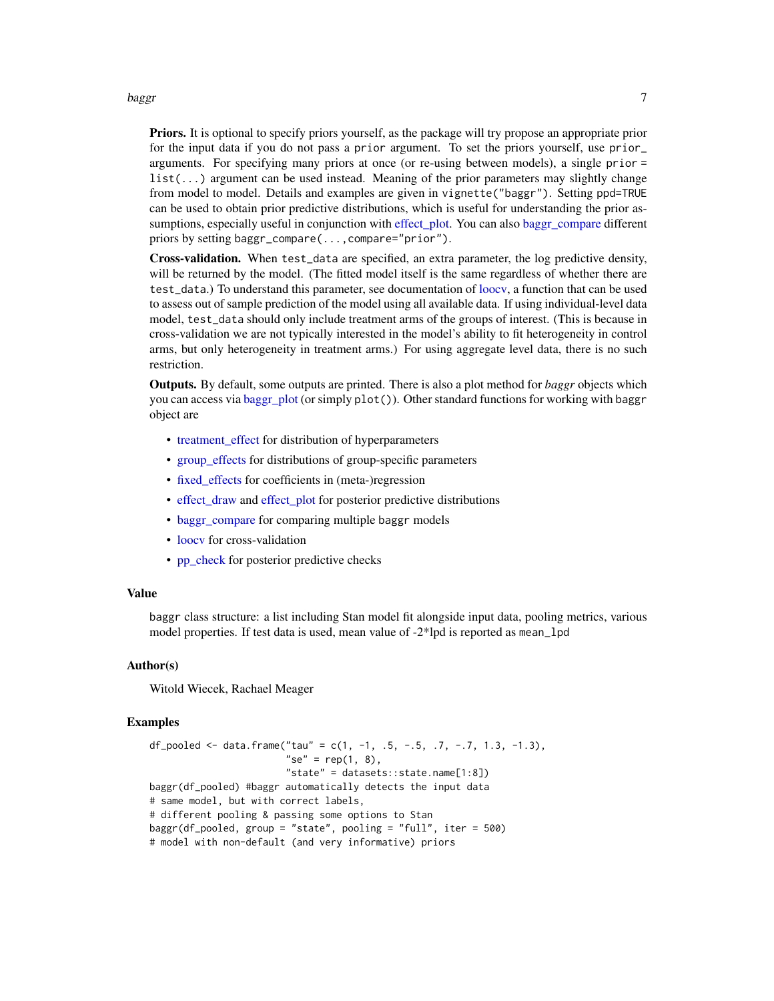#### <span id="page-6-0"></span>baggr 7

**Priors.** It is optional to specify priors yourself, as the package will try propose an appropriate prior for the input data if you do not pass a prior argument. To set the priors yourself, use prior\_ arguments. For specifying many priors at once (or re-using between models), a single prior = list(...) argument can be used instead. Meaning of the prior parameters may slightly change from model to model. Details and examples are given in vignette("baggr"). Setting ppd=TRUE can be used to obtain prior predictive distributions, which is useful for understanding the prior assumptions, especially useful in conjunction with effect plot. You can also [baggr\\_compare](#page-7-1) different priors by setting baggr\_compare(...,compare="prior").

Cross-validation. When test\_data are specified, an extra parameter, the log predictive density, will be returned by the model. (The fitted model itself is the same regardless of whether there are test\_data.) To understand this parameter, see documentation of [loocv,](#page-23-1) a function that can be used to assess out of sample prediction of the model using all available data. If using individual-level data model, test\_data should only include treatment arms of the groups of interest. (This is because in cross-validation we are not typically interested in the model's ability to fit heterogeneity in control arms, but only heterogeneity in treatment arms.) For using aggregate level data, there is no such restriction.

Outputs. By default, some outputs are printed. There is also a plot method for *baggr* objects which you can access via [baggr\\_plot](#page-9-1) (or simply  $plot()$ ). Other standard functions for working with baggr object are

- treatment effect for distribution of hyperparameters
- [group\\_effects](#page-21-1) for distributions of group-specific parameters
- [fixed\\_effects](#page-18-1) for coefficients in (meta-)regression
- [effect\\_draw](#page-15-1) and [effect\\_plot](#page-17-1) for posterior predictive distributions
- [baggr\\_compare](#page-7-1) for comparing multiple baggr models
- loocy for cross-validation
- [pp\\_check](#page-33-1) for posterior predictive checks

#### Value

baggr class structure: a list including Stan model fit alongside input data, pooling metrics, various model properties. If test data is used, mean value of -2\*lpd is reported as mean\_lpd

## Author(s)

Witold Wiecek, Rachael Meager

#### Examples

```
df_pooled <- data.frame("tau" = c(1, -1, .5, -.5, .7, -.7, 1.3, -1.3),
                        "se" = rep(1, 8),"state" = datasets::state.name[1:8])
baggr(df_pooled) #baggr automatically detects the input data
# same model, but with correct labels,
# different pooling & passing some options to Stan
baggr(df_pooled, group = "state", pooling = "full", iter = 500)
# model with non-default (and very informative) priors
```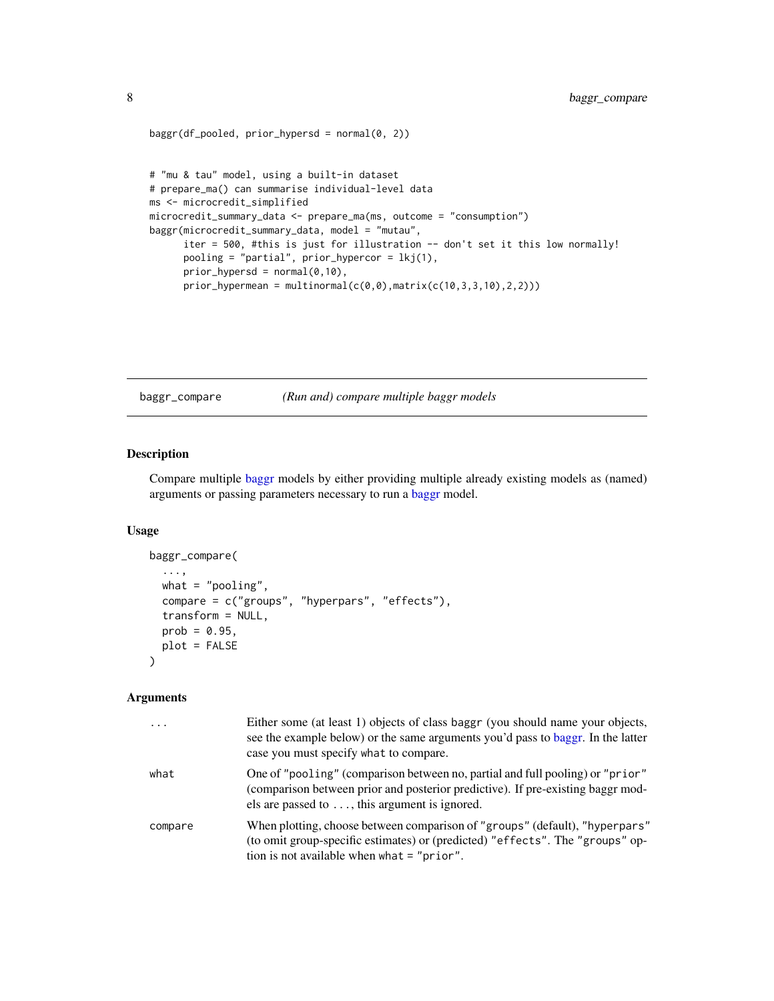```
baggr(df_pooled, prior_hypersd = normal(0, 2))
# "mu & tau" model, using a built-in dataset
# prepare_ma() can summarise individual-level data
ms <- microcredit_simplified
microcredit_summary_data <- prepare_ma(ms, outcome = "consumption")
baggr(microcredit_summary_data, model = "mutau",
      iter = 500, #this is just for illustration -- don't set it this low normally!
      pooling = "partial", prior_hypercor = lkj(1),
      prior_{hypersd} = normal(0,10),
      prior_hypermean = multinormal(c(0, 0), matrix(c(10, 3, 3, 10), 2, 2)))
```
<span id="page-7-1"></span>baggr\_compare *(Run and) compare multiple baggr models*

## Description

Compare multiple [baggr](#page-3-1) models by either providing multiple already existing models as (named) arguments or passing parameters necessary to run a [baggr](#page-3-1) model.

#### Usage

```
baggr_compare(
  ...,
 what = "pooling",
  compare = c("groups", "hyperpars", "effects"),
  transform = NULL,
 prob = 0.95,
 plot = FALSE
)
```
#### Arguments

| $\cdots$ | Either some (at least 1) objects of class baggr (you should name your objects,<br>see the example below) or the same arguments you'd pass to baggr. In the latter<br>case you must specify what to compare.               |
|----------|---------------------------------------------------------------------------------------------------------------------------------------------------------------------------------------------------------------------------|
| what     | One of "pooling" (comparison between no, partial and full pooling) or "prior"<br>(comparison between prior and posterior predictive). If pre-existing baggr mod-<br>els are passed to $\dots$ , this argument is ignored. |
| compare  | When plotting, choose between comparison of "groups" (default), "hyperpars"<br>(to omit group-specific estimates) or (predicted) "effects". The "groups" op-<br>tion is not available when what $=$ "prior".              |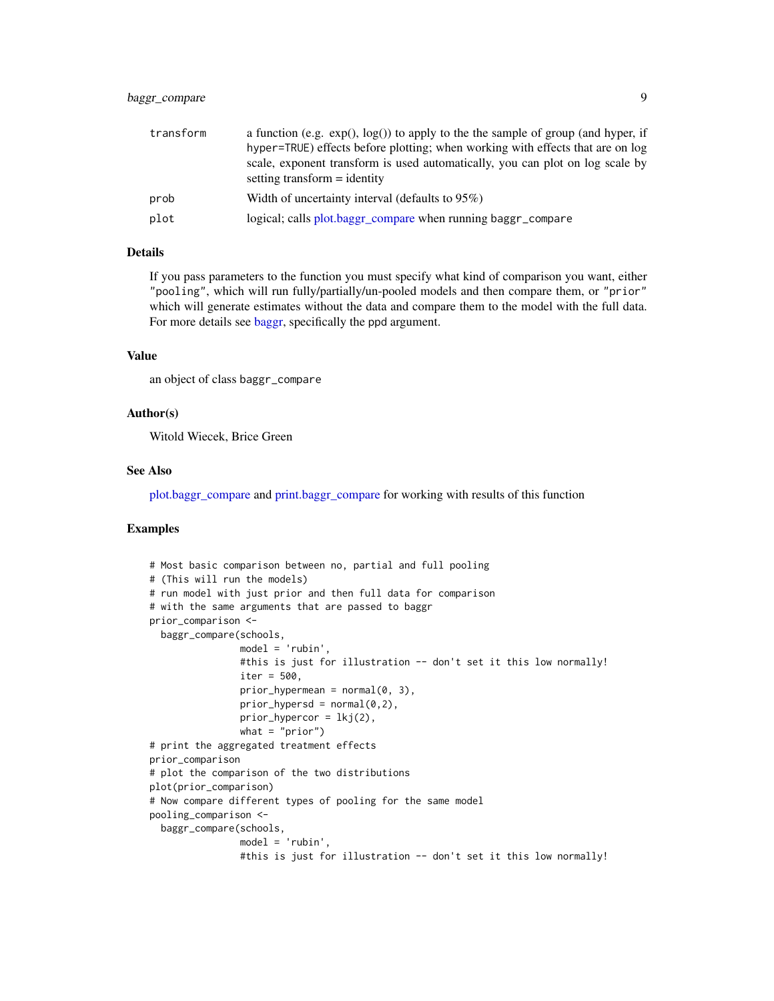## <span id="page-8-0"></span>baggr\_compare 9

| transform | a function (e.g. $exp($ ), $log($ ) to apply to the the sample of group (and hyper, if |
|-----------|----------------------------------------------------------------------------------------|
|           | hyper=TRUE) effects before plotting; when working with effects that are on log         |
|           | scale, exponent transform is used automatically, you can plot on log scale by          |
|           | setting transform $=$ identity                                                         |
| prob      | Width of uncertainty interval (defaults to 95%)                                        |
| plot      | logical; calls plot.baggr_compare when running baggr_compare                           |

## Details

If you pass parameters to the function you must specify what kind of comparison you want, either "pooling", which will run fully/partially/un-pooled models and then compare them, or "prior" which will generate estimates without the data and compare them to the model with the full data. For more details see [baggr,](#page-3-1) specifically the ppd argument.

## Value

an object of class baggr\_compare

## Author(s)

Witold Wiecek, Brice Green

#### See Also

[plot.baggr\\_compare](#page-28-1) and [print.baggr\\_compare](#page-40-1) for working with results of this function

#### Examples

```
# Most basic comparison between no, partial and full pooling
# (This will run the models)
# run model with just prior and then full data for comparison
# with the same arguments that are passed to baggr
prior_comparison <-
 baggr_compare(schools,
               model = 'rubin',
               #this is just for illustration -- don't set it this low normally!
               iter = 500,
               prior_hypermean = normal(0, 3),
               prior_hypersd = normal(0,2),
               prior_hypercor = lkj(2),
               what = "prior")# print the aggregated treatment effects
prior_comparison
# plot the comparison of the two distributions
plot(prior_comparison)
# Now compare different types of pooling for the same model
pooling_comparison <-
 baggr_compare(schools,
               model = 'rubin',
                #this is just for illustration -- don't set it this low normally!
```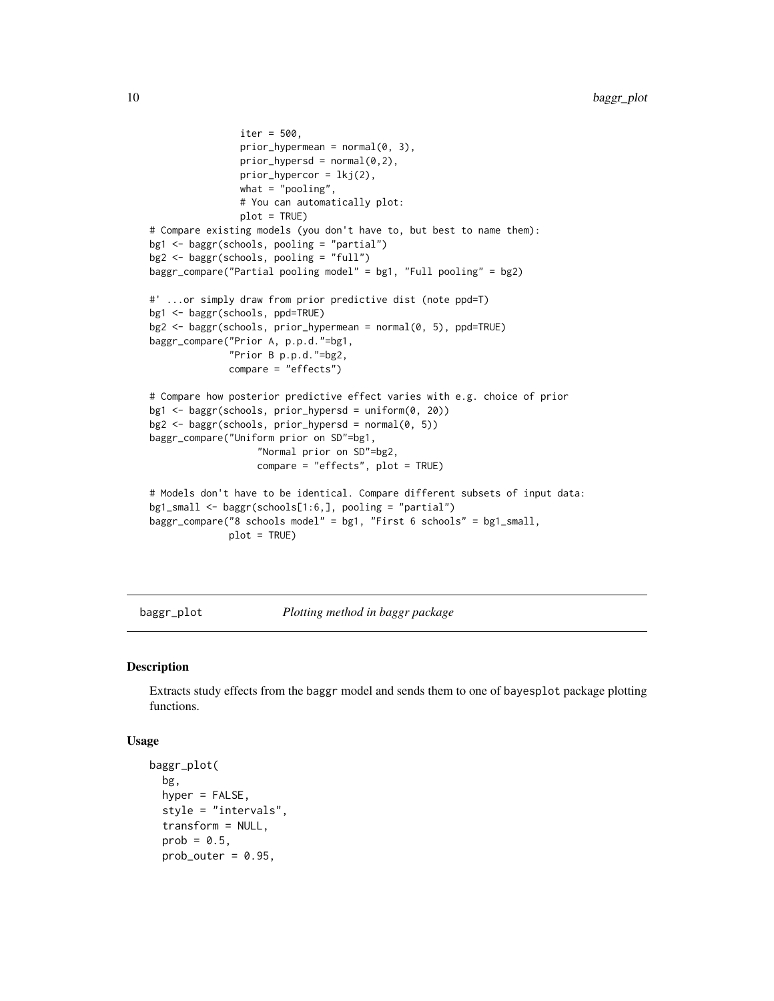```
iter = 500,
                prior_{hypermean} = normal(0, 3),prior_{hypersd} = normal(0, 2),
                prior_{hypercor} = lkj(2),
                what = "pooling",# You can automatically plot:
                plot = TRUE)
# Compare existing models (you don't have to, but best to name them):
bg1 <- baggr(schools, pooling = "partial")
bg2 <- baggr(schools, pooling = "full")
baggr_compare("Partial pooling model" = bg1, "Full pooling" = bg2)
#' ...or simply draw from prior predictive dist (note ppd=T)
bg1 <- baggr(schools, ppd=TRUE)
bg2 <- baggr(schools, prior_hypermean = normal(0, 5), ppd=TRUE)
baggr_compare("Prior A, p.p.d."=bg1,
              "Prior B p.p.d."=bg2,
              compare = "effects")
# Compare how posterior predictive effect varies with e.g. choice of prior
bg1 <- baggr(schools, prior_hypersd = uniform(0, 20))
bg2 \leftarrow baggr(schools, prior_hypersd = normal(0, 5))baggr_compare("Uniform prior on SD"=bg1,
                   "Normal prior on SD"=bg2,
                   compare = "effects", plot = TRUE)
# Models don't have to be identical. Compare different subsets of input data:
bg1_small <- baggr(schools[1:6,], pooling = "partial")
baggr_compare("8 schools model" = bg1, "First 6 schools" = bg1_small,
              plot = TRUE)
```
<span id="page-9-1"></span>baggr\_plot *Plotting method in baggr package*

#### Description

Extracts study effects from the baggr model and sends them to one of bayesplot package plotting functions.

#### Usage

```
baggr_plot(
 bg,
  hyper = FALSE,
  style = "intervals",
  transform = NULL,
  prob = 0.5,
  prob_outer = 0.95,
```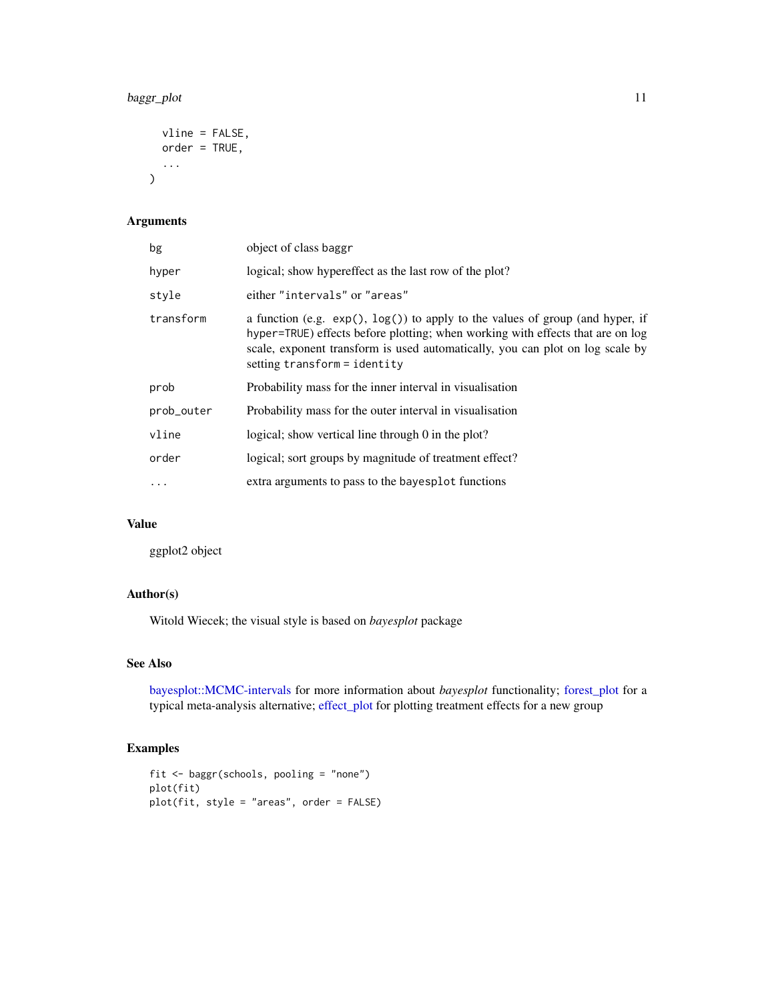## <span id="page-10-0"></span>baggr\_plot 11

```
vline = FALSE,
  order = TRUE,
  ...
\mathcal{L}
```
## Arguments

| bg         | object of class baggr                                                                                                                                                                                                                                                                  |
|------------|----------------------------------------------------------------------------------------------------------------------------------------------------------------------------------------------------------------------------------------------------------------------------------------|
| hyper      | logical; show hypereffect as the last row of the plot?                                                                                                                                                                                                                                 |
| style      | either "intervals" or "areas"                                                                                                                                                                                                                                                          |
| transform  | a function (e.g. $exp($ ), $log($ )) to apply to the values of group (and hyper, if<br>hyper=TRUE) effects before plotting; when working with effects that are on log<br>scale, exponent transform is used automatically, you can plot on log scale by<br>setting transform = identity |
| prob       | Probability mass for the inner interval in visualization                                                                                                                                                                                                                               |
| prob_outer | Probability mass for the outer interval in visualization                                                                                                                                                                                                                               |
| vline      | logical; show vertical line through 0 in the plot?                                                                                                                                                                                                                                     |
| order      | logical; sort groups by magnitude of treatment effect?                                                                                                                                                                                                                                 |
| $\cdots$   | extra arguments to pass to the bayesplot functions                                                                                                                                                                                                                                     |

## Value

ggplot2 object

## Author(s)

Witold Wiecek; the visual style is based on *bayesplot* package

## See Also

[bayesplot::MCMC-intervals](#page-0-0) for more information about *bayesplot* functionality; [forest\\_plot](#page-19-1) for a typical meta-analysis alternative; [effect\\_plot](#page-17-1) for plotting treatment effects for a new group

## Examples

```
fit <- baggr(schools, pooling = "none")
plot(fit)
plot(fit, style = "areas", order = FALSE)
```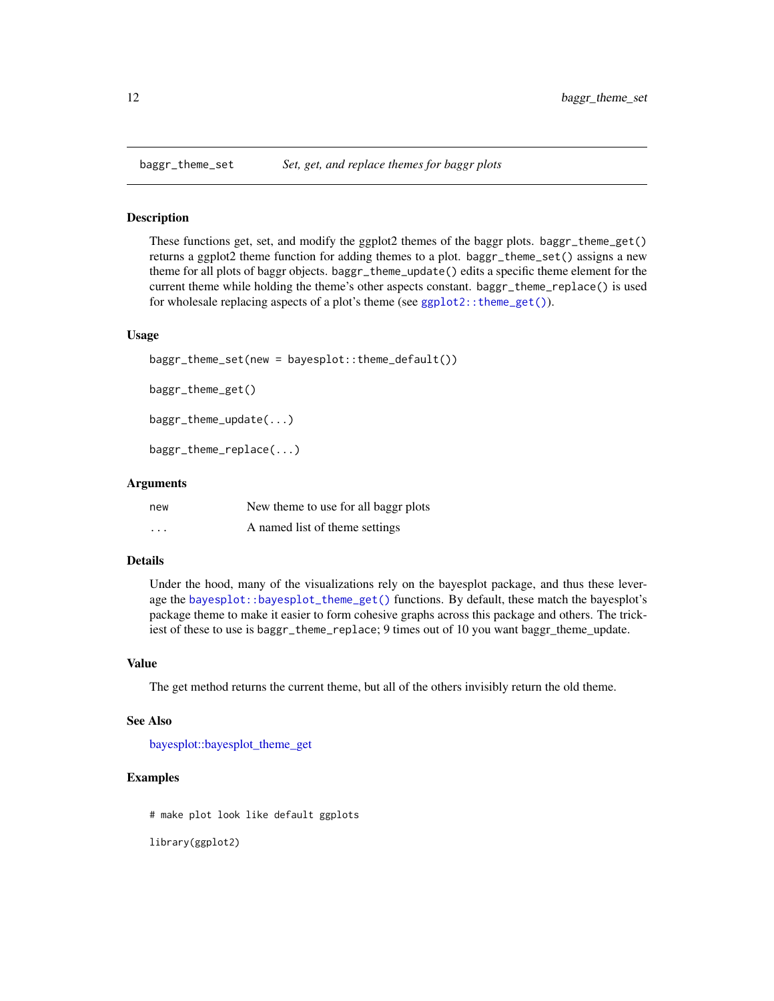These functions get, set, and modify the ggplot2 themes of the baggr plots. baggr\_theme\_get() returns a ggplot2 theme function for adding themes to a plot. baggr\_theme\_set() assigns a new theme for all plots of baggr objects. baggr\_theme\_update() edits a specific theme element for the current theme while holding the theme's other aspects constant. baggr\_theme\_replace() is used for wholesale replacing aspects of a plot's theme (see ggplot2:: theme\_get()).

#### Usage

```
baggr_theme_set(new = bayesplot::theme_default())
```
baggr\_theme\_get()

baggr\_theme\_update(...)

baggr\_theme\_replace(...)

#### Arguments

| new      | New theme to use for all baggr plots |
|----------|--------------------------------------|
| $\cdots$ | A named list of theme settings       |

#### Details

Under the hood, many of the visualizations rely on the bayesplot package, and thus these leverage the [bayesplot::bayesplot\\_theme\\_get\(\)](#page-0-0) functions. By default, these match the bayesplot's package theme to make it easier to form cohesive graphs across this package and others. The trickiest of these to use is baggr\_theme\_replace; 9 times out of 10 you want baggr\_theme\_update.

#### Value

The get method returns the current theme, but all of the others invisibly return the old theme.

#### See Also

[bayesplot::bayesplot\\_theme\\_get](#page-0-0)

## Examples

# make plot look like default ggplots

library(ggplot2)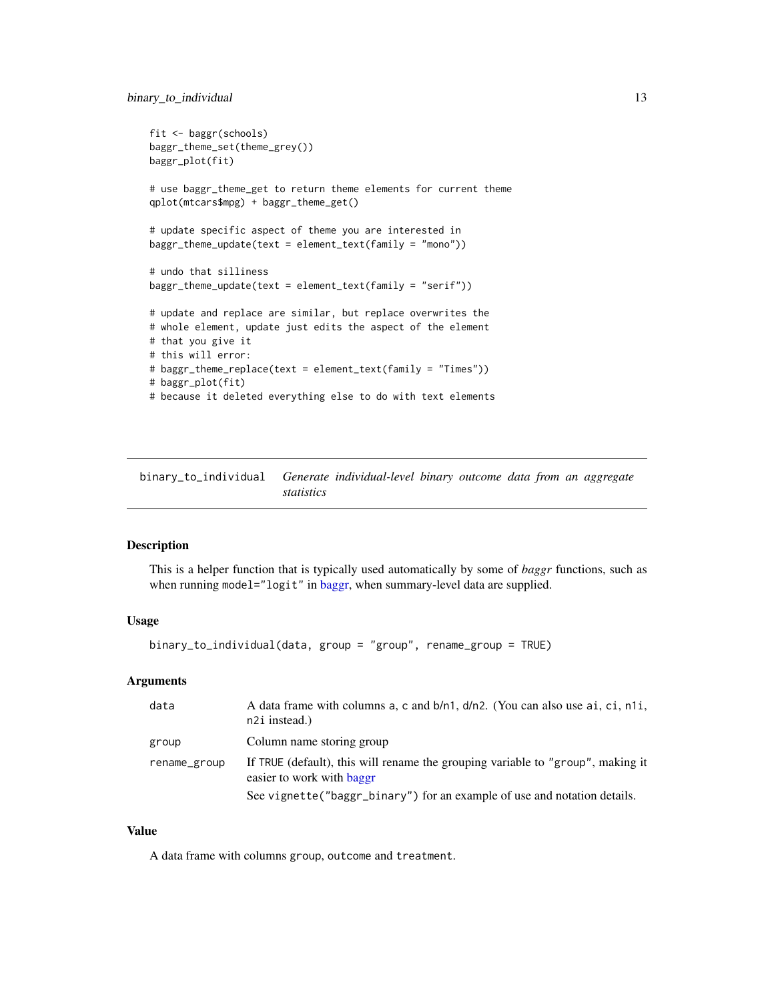```
fit <- baggr(schools)
baggr_theme_set(theme_grey())
baggr_plot(fit)
# use baggr_theme_get to return theme elements for current theme
qplot(mtcars$mpg) + baggr_theme_get()
# update specific aspect of theme you are interested in
baggr_theme_update(text = element_text(family = "mono"))
# undo that silliness
baggr_theme_update(text = element_text(family = "serif"))
# update and replace are similar, but replace overwrites the
# whole element, update just edits the aspect of the element
# that you give it
# this will error:
# baggr_theme_replace(text = element_text(family = "Times"))
# baggr_plot(fit)
# because it deleted everything else to do with text elements
```
binary\_to\_individual *Generate individual-level binary outcome data from an aggregate statistics*

#### Description

This is a helper function that is typically used automatically by some of *baggr* functions, such as when running model="logit" in [baggr,](#page-3-1) when summary-level data are supplied.

#### Usage

```
binary_to_individual(data, group = "group", rename_group = TRUE)
```
## Arguments

| data         | A data frame with columns a, c and $b/n1$ , $d/n2$ . (You can also use ai, ci, n1i,<br>n2i instead.)         |
|--------------|--------------------------------------------------------------------------------------------------------------|
| group        | Column name storing group                                                                                    |
| rename_group | If TRUE (default), this will rename the grouping variable to "group", making it<br>easier to work with baggr |
|              | See vignette ("baggr_binary") for an example of use and notation details.                                    |

#### Value

A data frame with columns group, outcome and treatment.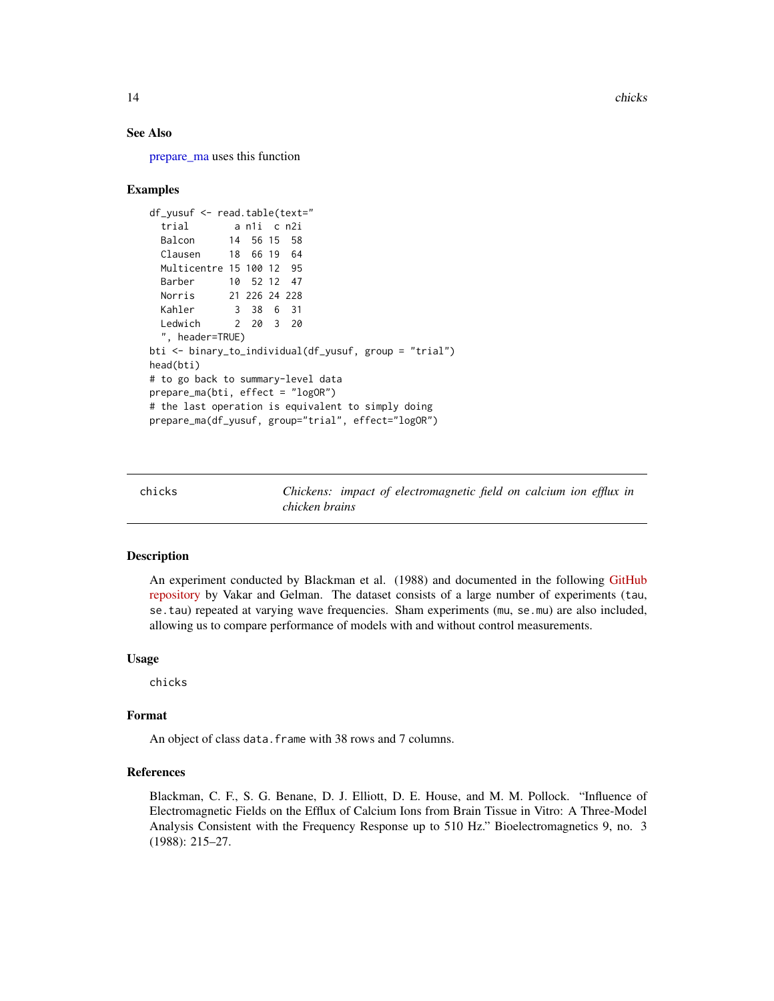<span id="page-13-0"></span>14 chicks chicks and the chicks of the chicks of the chicks of the chicks of the chicks of the chicks of the chicks of the chicks of the chicks of the chicks of the chicks of the chicks of the chicks of the chicks of the c

#### See Also

[prepare\\_ma](#page-37-1) uses this function

#### Examples

```
df_yusuf <- read.table(text="
 trial a n1i c n2i
 Balcon 14 56 15 58
 Clausen 18 66 19 64
 Multicentre 15 100 12 95
 Barber 10 52 12 47
 Norris 21 226 24 228
 Kahler 3 38 6 31
 Ledwich 2 20 3 20
 ", header=TRUE)
bti <- binary_to_individual(df_yusuf, group = "trial")
head(bti)
# to go back to summary-level data
prepare_ma(bti, effect = "logOR")
# the last operation is equivalent to simply doing
prepare_ma(df_yusuf, group="trial", effect="logOR")
```
chicks *Chickens: impact of electromagnetic field on calcium ion efflux in chicken brains*

#### Description

An experiment conducted by Blackman et al. (1988) and documented in the following [GitHub](https://github.com/VMatthijs/Slamming-the-sham) [repository](https://github.com/VMatthijs/Slamming-the-sham) by Vakar and Gelman. The dataset consists of a large number of experiments (tau, se.tau) repeated at varying wave frequencies. Sham experiments (mu, se.mu) are also included, allowing us to compare performance of models with and without control measurements.

## Usage

chicks

## Format

An object of class data. frame with 38 rows and 7 columns.

## References

Blackman, C. F., S. G. Benane, D. J. Elliott, D. E. House, and M. M. Pollock. "Influence of Electromagnetic Fields on the Efflux of Calcium Ions from Brain Tissue in Vitro: A Three-Model Analysis Consistent with the Frequency Response up to 510 Hz." Bioelectromagnetics 9, no. 3 (1988): 215–27.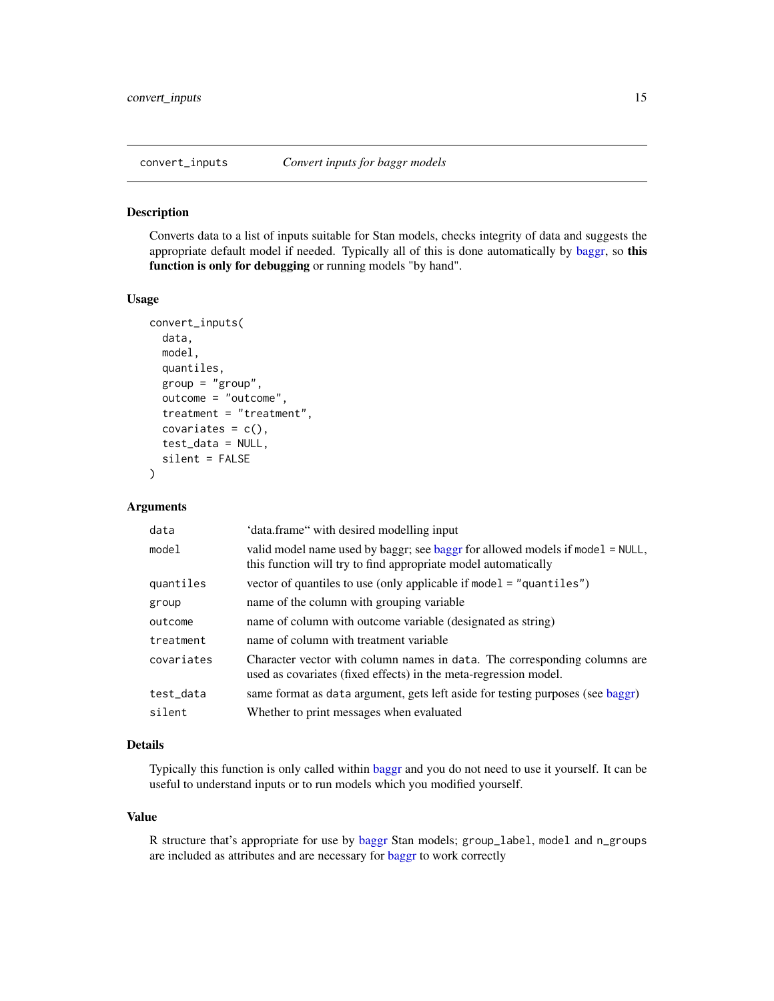<span id="page-14-1"></span><span id="page-14-0"></span>

Converts data to a list of inputs suitable for Stan models, checks integrity of data and suggests the appropriate default model if needed. Typically all of this is done automatically by [baggr,](#page-3-1) so this function is only for debugging or running models "by hand".

#### Usage

```
convert_inputs(
  data,
  model,
  quantiles,
  group = "group",outcome = "outcome",
  treatment = "treatment",
  covariates = c(),
  test_data = NULL,
  silent = FALSE
)
```
## Arguments

| data       | 'data.frame" with desired modelling input                                                                                                       |
|------------|-------------------------------------------------------------------------------------------------------------------------------------------------|
| model      | valid model name used by baggr; see baggr for allowed models if model = NULL,<br>this function will try to find appropriate model automatically |
| quantiles  | vector of quantiles to use (only applicable if model = "quantiles")                                                                             |
| group      | name of the column with grouping variable                                                                                                       |
| outcome    | name of column with outcome variable (designated as string)                                                                                     |
| treatment  | name of column with treatment variable                                                                                                          |
| covariates | Character vector with column names in data. The corresponding columns are<br>used as covariates (fixed effects) in the meta-regression model.   |
| test_data  | same format as data argument, gets left aside for testing purposes (see baggr)                                                                  |
| silent     | Whether to print messages when evaluated                                                                                                        |

#### Details

Typically this function is only called within [baggr](#page-3-1) and you do not need to use it yourself. It can be useful to understand inputs or to run models which you modified yourself.

#### Value

R structure that's appropriate for use by [baggr](#page-3-1) Stan models; group\_label, model and n\_groups are included as attributes and are necessary for [baggr](#page-3-1) to work correctly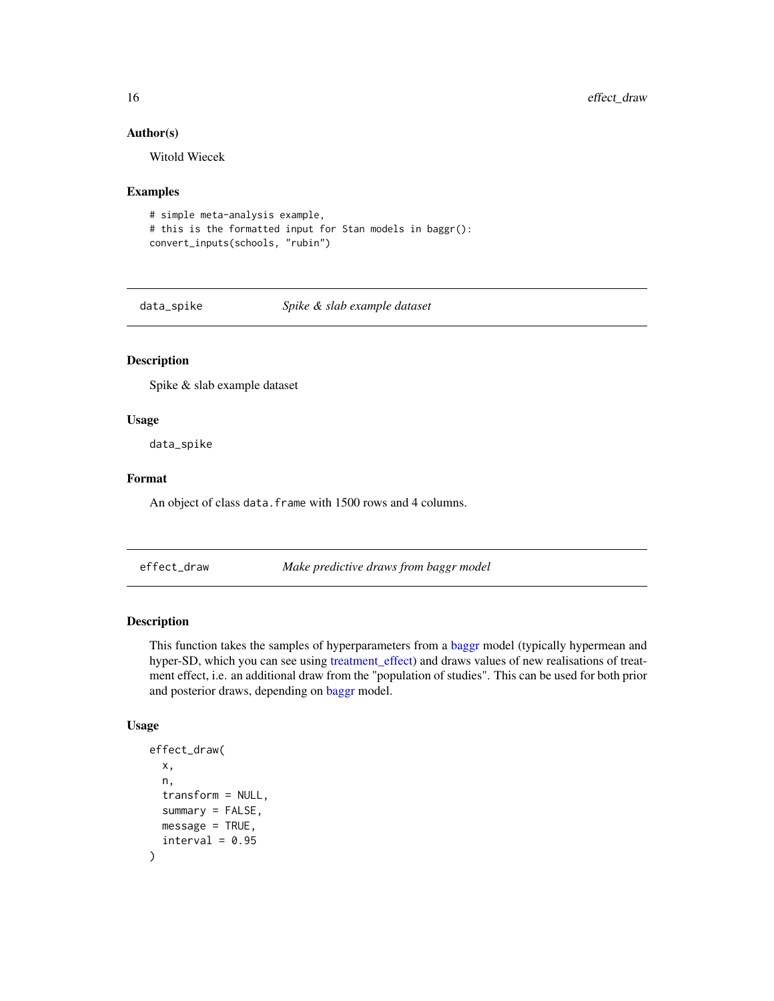#### Author(s)

Witold Wiecek

## Examples

```
# simple meta-analysis example,
# this is the formatted input for Stan models in baggr():
convert_inputs(schools, "rubin")
```
data\_spike *Spike & slab example dataset*

## Description

Spike & slab example dataset

#### Usage

data\_spike

## Format

An object of class data. frame with 1500 rows and 4 columns.

<span id="page-15-1"></span>effect\_draw *Make predictive draws from baggr model*

## Description

This function takes the samples of hyperparameters from a [baggr](#page-3-1) model (typically hypermean and hyper-SD, which you can see using [treatment\\_effect\)](#page-47-1) and draws values of new realisations of treatment effect, i.e. an additional draw from the "population of studies". This can be used for both prior and posterior draws, depending on [baggr](#page-3-1) model.

#### Usage

```
effect_draw(
  x,
 n,
  transform = NULL,
  summarv = FALSE,
 message = TRUE,
  interval = 0.95)
```
<span id="page-15-0"></span>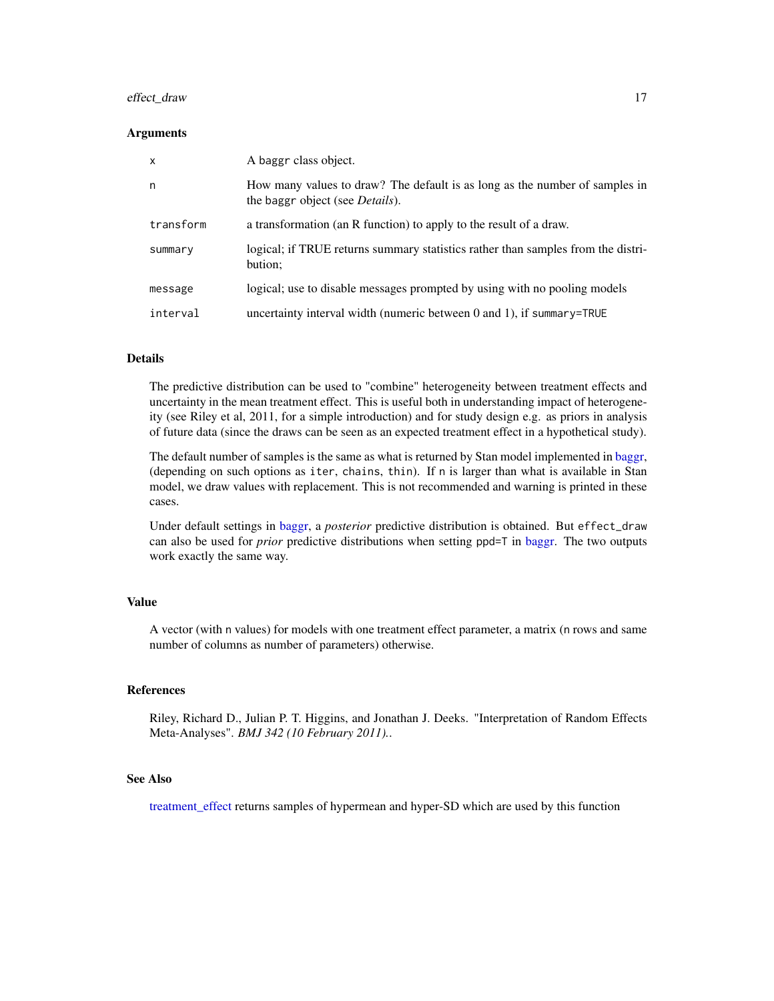## <span id="page-16-0"></span>effect\_draw 17

#### Arguments

| $\mathsf{x}$ | A baggr class object.                                                                                                  |
|--------------|------------------------------------------------------------------------------------------------------------------------|
| n            | How many values to draw? The default is as long as the number of samples in<br>the baggr object (see <i>Details</i> ). |
| transform    | a transformation (an R function) to apply to the result of a draw.                                                     |
| summary      | logical; if TRUE returns summary statistics rather than samples from the distri-<br>bution;                            |
| message      | logical; use to disable messages prompted by using with no pooling models                                              |
| interval     | uncertainty interval width (numeric between $0$ and $1$ ), if summary=TRUE                                             |

## Details

The predictive distribution can be used to "combine" heterogeneity between treatment effects and uncertainty in the mean treatment effect. This is useful both in understanding impact of heterogeneity (see Riley et al, 2011, for a simple introduction) and for study design e.g. as priors in analysis of future data (since the draws can be seen as an expected treatment effect in a hypothetical study).

The default number of samples is the same as what is returned by Stan model implemented in [baggr,](#page-3-1) (depending on such options as iter, chains, thin). If n is larger than what is available in Stan model, we draw values with replacement. This is not recommended and warning is printed in these cases.

Under default settings in [baggr,](#page-3-1) a *posterior* predictive distribution is obtained. But effect\_draw can also be used for *prior* predictive distributions when setting ppd=T in [baggr.](#page-3-1) The two outputs work exactly the same way.

## Value

A vector (with n values) for models with one treatment effect parameter, a matrix (n rows and same number of columns as number of parameters) otherwise.

#### References

Riley, Richard D., Julian P. T. Higgins, and Jonathan J. Deeks. "Interpretation of Random Effects Meta-Analyses". *BMJ 342 (10 February 2011).*.

## See Also

[treatment\\_effect](#page-47-1) returns samples of hypermean and hyper-SD which are used by this function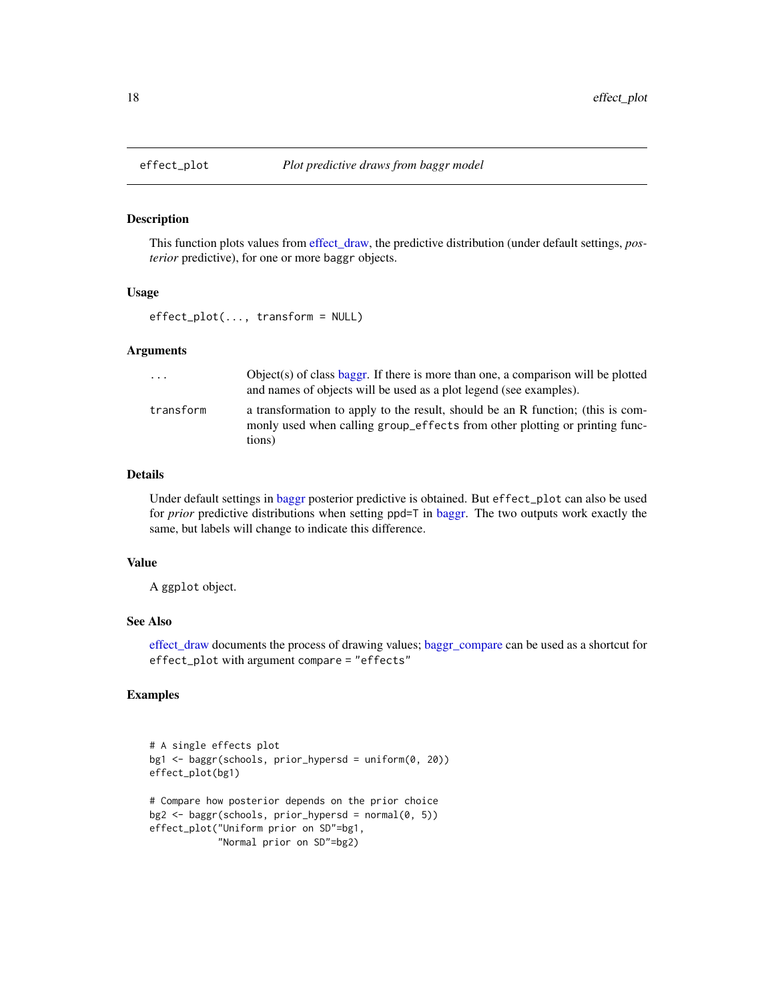This function plots values from [effect\\_draw,](#page-15-1) the predictive distribution (under default settings, *posterior* predictive), for one or more baggr objects.

#### Usage

effect\_plot(..., transform = NULL)

#### Arguments

| $\cdots$  | Object(s) of class baggr. If there is more than one, a comparison will be plotted<br>and names of objects will be used as a plot legend (see examples).                  |
|-----------|--------------------------------------------------------------------------------------------------------------------------------------------------------------------------|
| transform | a transformation to apply to the result, should be an R function; (this is com-<br>monly used when calling group_effects from other plotting or printing func-<br>tions) |

### Details

Under default settings in [baggr](#page-3-1) posterior predictive is obtained. But effect\_plot can also be used for *prior* predictive distributions when setting ppd=T in [baggr.](#page-3-1) The two outputs work exactly the same, but labels will change to indicate this difference.

## Value

A ggplot object.

## See Also

[effect\\_draw](#page-15-1) documents the process of drawing values; [baggr\\_compare](#page-7-1) can be used as a shortcut for effect\_plot with argument compare = "effects"

## Examples

```
# A single effects plot
bg1 <- baggr(schools, prior_hypersd = uniform(0, 20))
effect_plot(bg1)
# Compare how posterior depends on the prior choice
bg2 \leftarrow baggr(schools, prior_hypersd = normal(0, 5))effect_plot("Uniform prior on SD"=bg1,
            "Normal prior on SD"=bg2)
```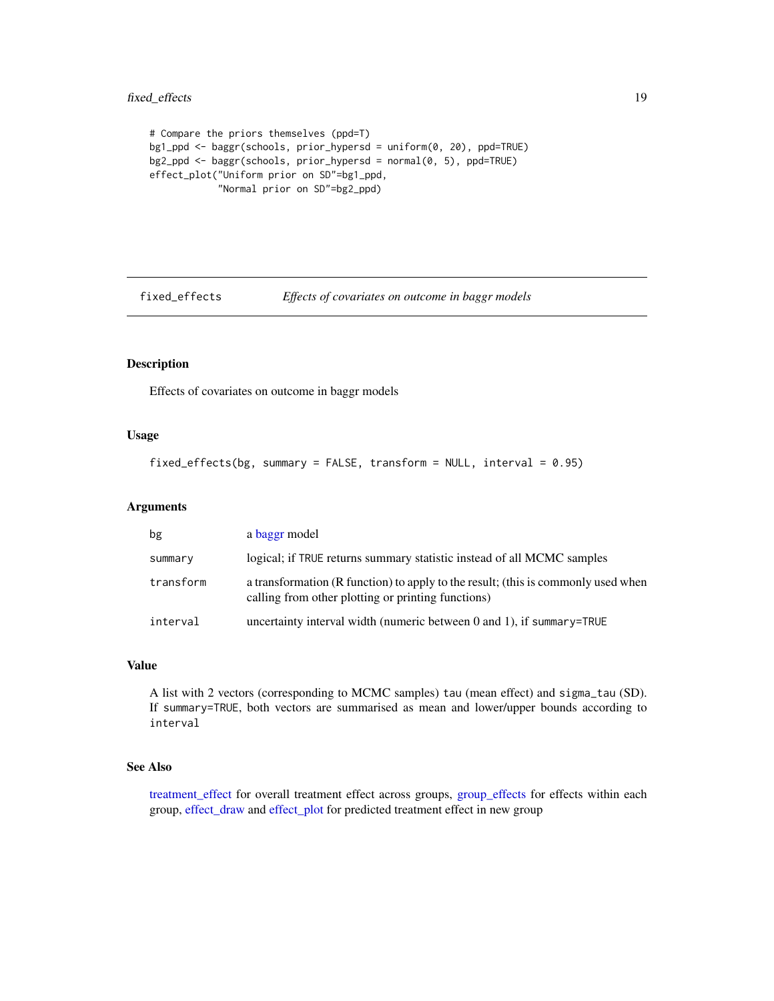```
# Compare the priors themselves (ppd=T)
bg1_ppd <- baggr(schools, prior_hypersd = uniform(0, 20), ppd=TRUE)
bg2_ppd <- baggr(schools, prior_hypersd = normal(0, 5), ppd=TRUE)
effect_plot("Uniform prior on SD"=bg1_ppd,
            "Normal prior on SD"=bg2_ppd)
```
<span id="page-18-1"></span>

fixed\_effects *Effects of covariates on outcome in baggr models*

## Description

Effects of covariates on outcome in baggr models

## Usage

```
fixed_effects(bg, summary = FALSE, transform = NULL, interval = 0.95)
```
## Arguments

| bg        | a baggr model                                                                                                                           |
|-----------|-----------------------------------------------------------------------------------------------------------------------------------------|
| summary   | logical; if TRUE returns summary statistic instead of all MCMC samples                                                                  |
| transform | a transformation (R function) to apply to the result; (this is commonly used when<br>calling from other plotting or printing functions) |
| interval  | uncertainty interval width (numeric between $0$ and $1$ ), if summary=TRUE                                                              |

## Value

A list with 2 vectors (corresponding to MCMC samples) tau (mean effect) and sigma\_tau (SD). If summary=TRUE, both vectors are summarised as mean and lower/upper bounds according to interval

#### See Also

[treatment\\_effect](#page-47-1) for overall treatment effect across groups, [group\\_effects](#page-21-1) for effects within each group, [effect\\_draw](#page-15-1) and [effect\\_plot](#page-17-1) for predicted treatment effect in new group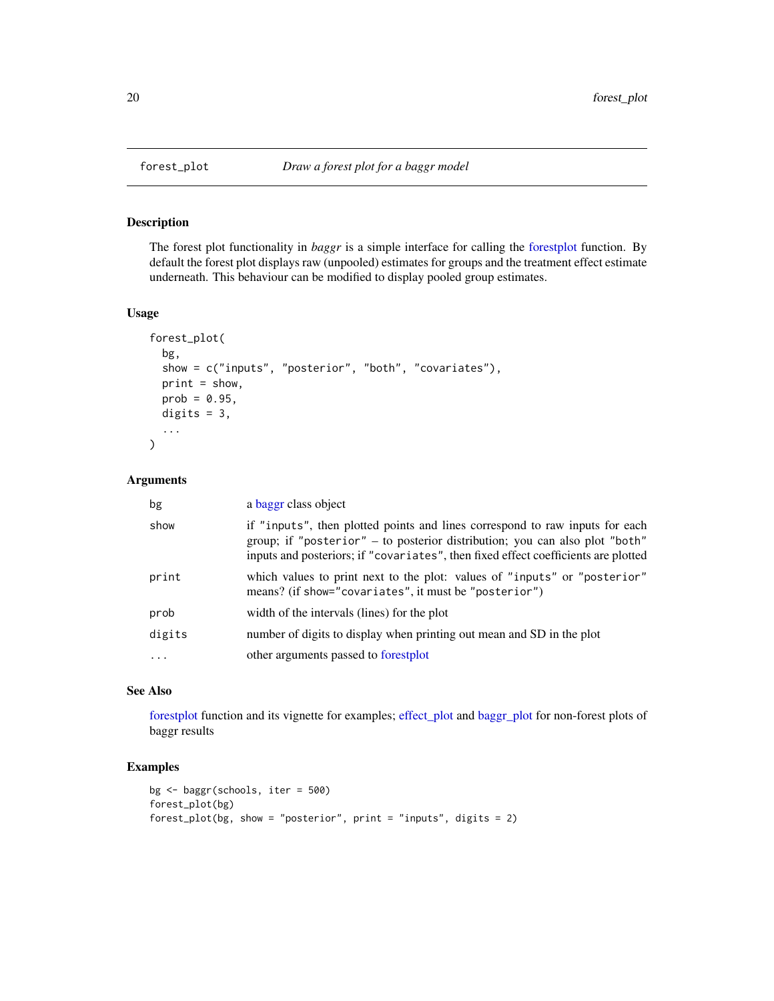<span id="page-19-1"></span><span id="page-19-0"></span>

The forest plot functionality in *baggr* is a simple interface for calling the [forestplot](#page-0-0) function. By default the forest plot displays raw (unpooled) estimates for groups and the treatment effect estimate underneath. This behaviour can be modified to display pooled group estimates.

## Usage

```
forest_plot(
  bg,
  show = c("inputs", "posterior", "both", "covariates"),
 print = show,prob = 0.95,
 digits = 3,
  ...
)
```
## Arguments

| bg       | a baggr class object                                                                                                                                                                                                                              |
|----------|---------------------------------------------------------------------------------------------------------------------------------------------------------------------------------------------------------------------------------------------------|
| show     | if "inputs", then plotted points and lines correspond to raw inputs for each<br>group; if "posterior" – to posterior distribution; you can also plot "both"<br>inputs and posteriors; if "covariates", then fixed effect coefficients are plotted |
| print    | which values to print next to the plot: values of "inputs" or "posterior"<br>means? (if show="covariates", it must be "posterior")                                                                                                                |
| prob     | width of the intervals (lines) for the plot                                                                                                                                                                                                       |
| digits   | number of digits to display when printing out mean and SD in the plot                                                                                                                                                                             |
| $\ddots$ | other arguments passed to forestplot                                                                                                                                                                                                              |

## See Also

[forestplot](#page-0-0) function and its vignette for examples; [effect\\_plot](#page-17-1) and [baggr\\_plot](#page-9-1) for non-forest plots of baggr results

#### Examples

```
bg <- baggr(schools, iter = 500)
forest_plot(bg)
forest_plot(bg, show = "posterior", print = "inputs", digits = 2)
```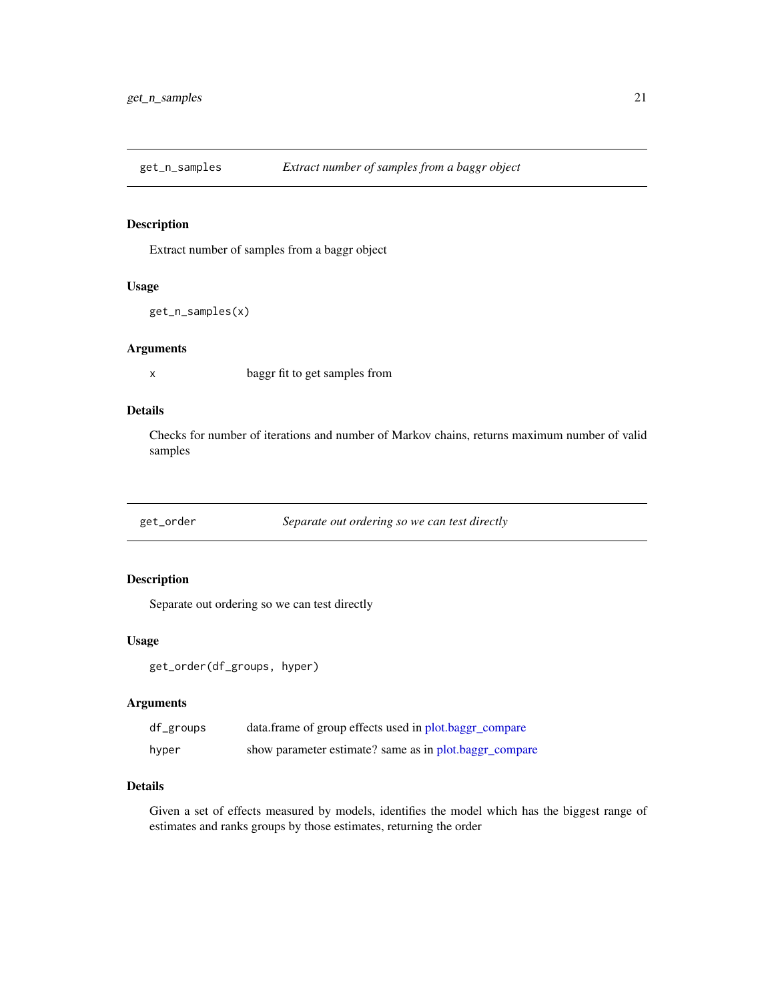<span id="page-20-0"></span>

Extract number of samples from a baggr object

## Usage

```
get_n_samples(x)
```
## Arguments

x baggr fit to get samples from

## Details

Checks for number of iterations and number of Markov chains, returns maximum number of valid samples

get\_order *Separate out ordering so we can test directly*

## Description

Separate out ordering so we can test directly

## Usage

```
get_order(df_groups, hyper)
```
## Arguments

| df_groups | data.frame of group effects used in plot.baggr_compare |
|-----------|--------------------------------------------------------|
| hyper     | show parameter estimate? same as in plot.baggr_compare |

## Details

Given a set of effects measured by models, identifies the model which has the biggest range of estimates and ranks groups by those estimates, returning the order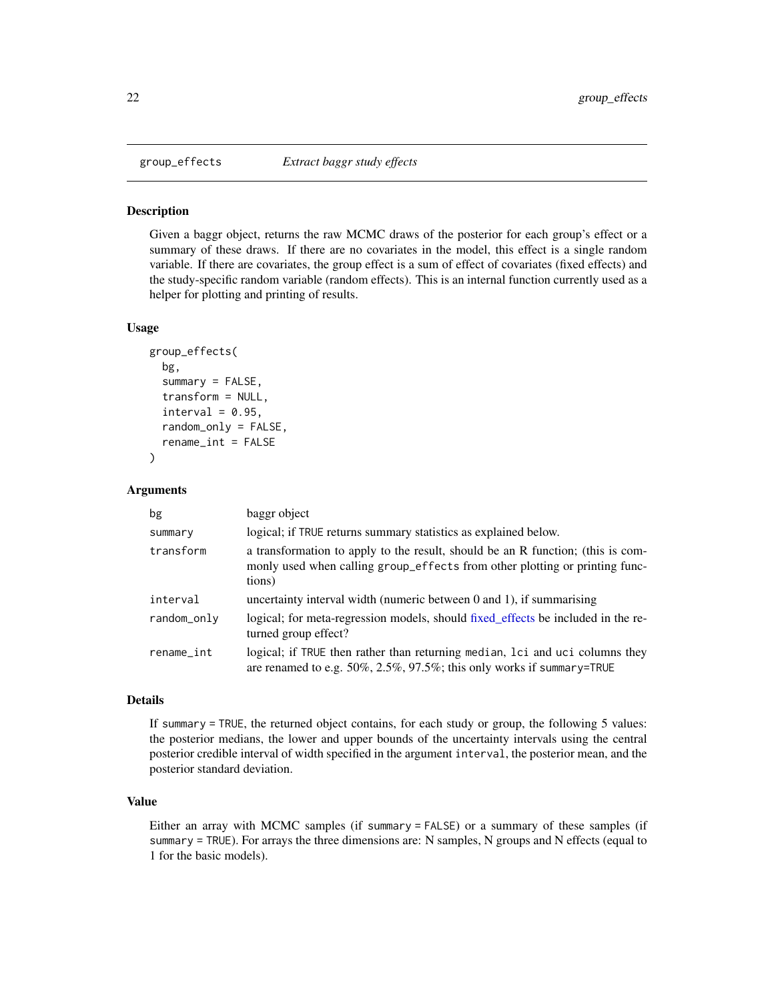<span id="page-21-1"></span><span id="page-21-0"></span>

Given a baggr object, returns the raw MCMC draws of the posterior for each group's effect or a summary of these draws. If there are no covariates in the model, this effect is a single random variable. If there are covariates, the group effect is a sum of effect of covariates (fixed effects) and the study-specific random variable (random effects). This is an internal function currently used as a helper for plotting and printing of results.

#### Usage

```
group_effects(
  bg,
  summary = FALSE,
  transform = NULL,
  interval = 0.95,
  random_only = FALSE,
  rename_int = FALSE
```
)

#### Arguments

| bg          | baggr object                                                                                                                                                             |
|-------------|--------------------------------------------------------------------------------------------------------------------------------------------------------------------------|
| summary     | logical; if TRUE returns summary statistics as explained below.                                                                                                          |
| transform   | a transformation to apply to the result, should be an R function; (this is com-<br>monly used when calling group_effects from other plotting or printing func-<br>tions) |
| interval    | uncertainty interval width (numeric between $0$ and $1$ ), if summarising                                                                                                |
| random_only | logical; for meta-regression models, should fixed effects be included in the re-<br>turned group effect?                                                                 |
| rename_int  | logical; if TRUE then rather than returning median, loci and uci columns they<br>are renamed to e.g. $50\%, 2.5\%, 97.5\%;$ this only works if summary=TRUE              |

#### Details

If summary = TRUE, the returned object contains, for each study or group, the following 5 values: the posterior medians, the lower and upper bounds of the uncertainty intervals using the central posterior credible interval of width specified in the argument interval, the posterior mean, and the posterior standard deviation.

## Value

Either an array with MCMC samples (if summary = FALSE) or a summary of these samples (if summary = TRUE). For arrays the three dimensions are: N samples, N groups and N effects (equal to 1 for the basic models).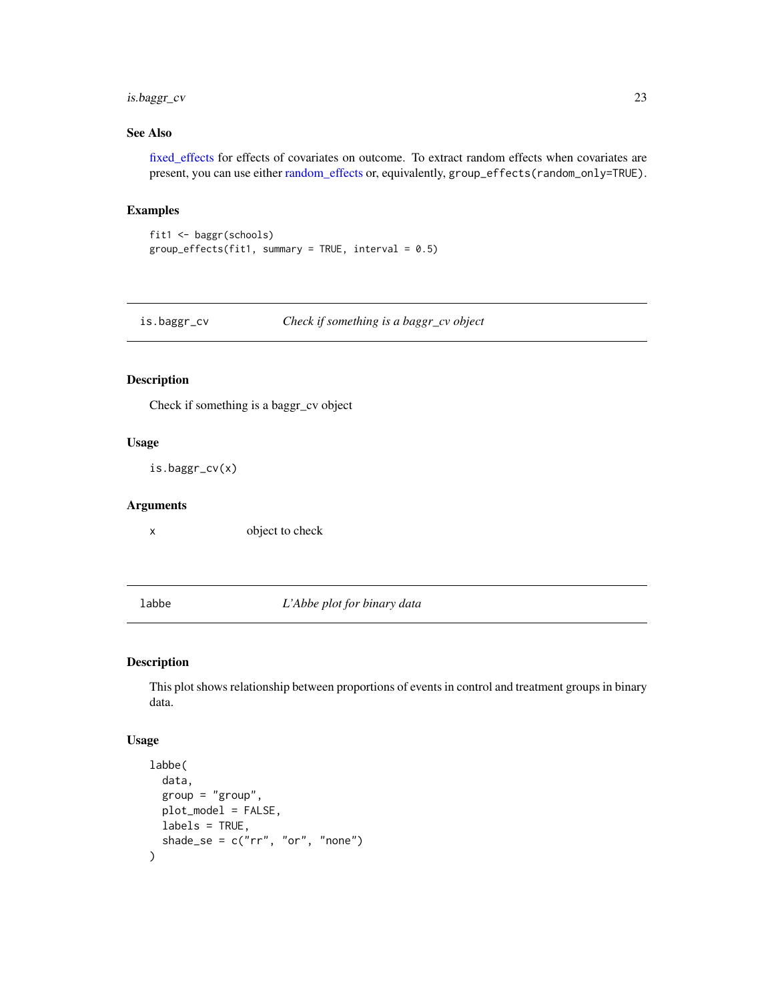## <span id="page-22-0"></span>is.baggr\_cv 23

## See Also

[fixed\\_effects](#page-18-1) for effects of covariates on outcome. To extract random effects when covariates are present, you can use either [random\\_effects](#page-44-1) or, equivalently, group\_effects(random\_only=TRUE).

#### Examples

```
fit1 <- baggr(schools)
group_effects(fit1, summary = TRUE, interval = 0.5)
```
is.baggr\_cv *Check if something is a baggr\_cv object*

#### Description

Check if something is a baggr\_cv object

## Usage

is.baggr\_cv(x)

#### Arguments

x object to check

labbe *L'Abbe plot for binary data*

#### Description

This plot shows relationship between proportions of events in control and treatment groups in binary data.

#### Usage

```
labbe(
  data,
  group = "group",plot_model = FALSE,
 labels = TRUE,shade_se = c("rr", "or", "none")\mathcal{E}
```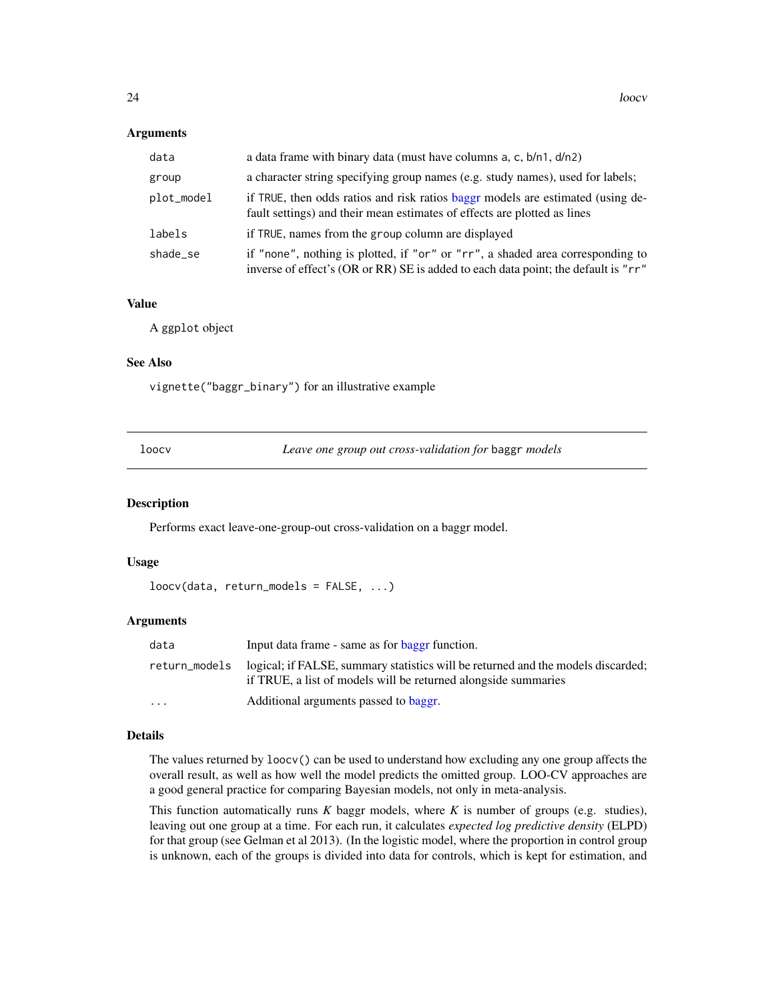#### **Arguments**

| data       | a data frame with binary data (must have columns $a, c, b/n1, d/n2$ )                                                                                                |
|------------|----------------------------------------------------------------------------------------------------------------------------------------------------------------------|
| group      | a character string specifying group names (e.g. study names), used for labels;                                                                                       |
| plot_model | if TRUE, then odds ratios and risk ratios baggr models are estimated (using de-<br>fault settings) and their mean estimates of effects are plotted as lines          |
| labels     | if TRUE, names from the group column are displayed                                                                                                                   |
| shade se   | if "none", nothing is plotted, if "or" or "rr", a shaded area corresponding to<br>inverse of effect's (OR or RR) SE is added to each data point; the default is "rr" |

#### Value

A ggplot object

#### See Also

vignette("baggr\_binary") for an illustrative example

<span id="page-23-1"></span>

Leave one group out cross-validation for baggr *models* 

#### Description

Performs exact leave-one-group-out cross-validation on a baggr model.

## Usage

```
loocv(data, return_models = FALSE, ...)
```
#### **Arguments**

| data              | Input data frame - same as for <b>baggr</b> function.                                                                                              |
|-------------------|----------------------------------------------------------------------------------------------------------------------------------------------------|
| return_models     | logical; if FALSE, summary statistics will be returned and the models discarded;<br>if TRUE, a list of models will be returned alongside summaries |
| $\cdot\cdot\cdot$ | Additional arguments passed to baggr.                                                                                                              |

## Details

The values returned by loocv() can be used to understand how excluding any one group affects the overall result, as well as how well the model predicts the omitted group. LOO-CV approaches are a good general practice for comparing Bayesian models, not only in meta-analysis.

This function automatically runs *K* baggr models, where *K* is number of groups (e.g. studies), leaving out one group at a time. For each run, it calculates *expected log predictive density* (ELPD) for that group (see Gelman et al 2013). (In the logistic model, where the proportion in control group is unknown, each of the groups is divided into data for controls, which is kept for estimation, and

<span id="page-23-0"></span>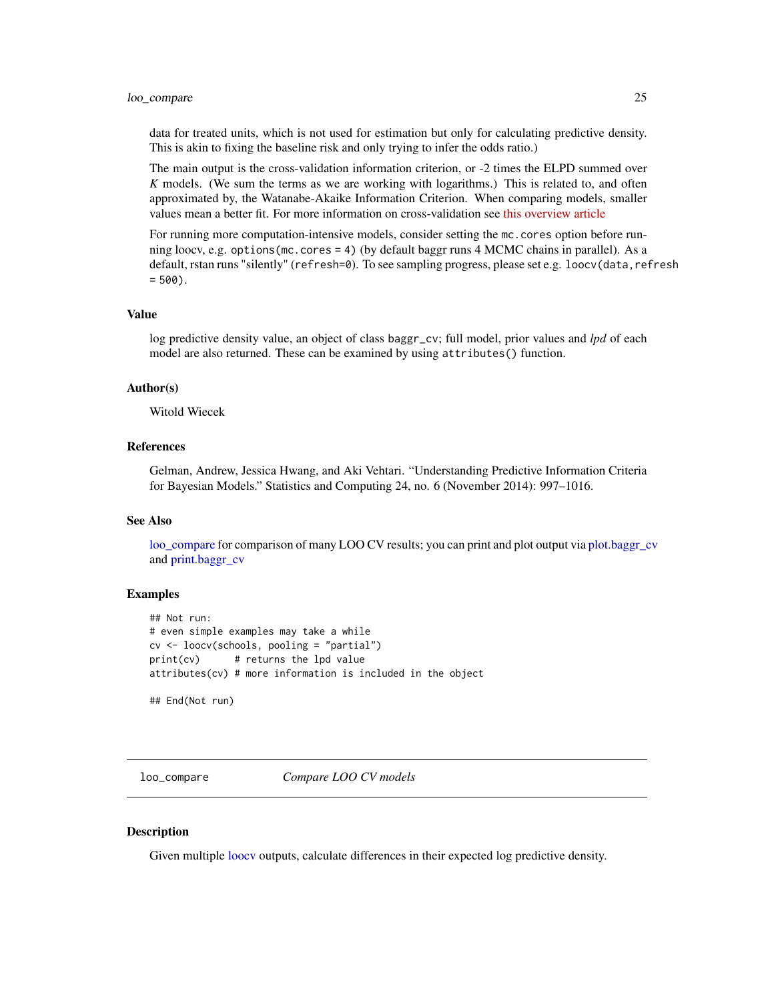#### <span id="page-24-0"></span>loo\_compare 25

data for treated units, which is not used for estimation but only for calculating predictive density. This is akin to fixing the baseline risk and only trying to infer the odds ratio.)

The main output is the cross-validation information criterion, or -2 times the ELPD summed over *K* models. (We sum the terms as we are working with logarithms.) This is related to, and often approximated by, the Watanabe-Akaike Information Criterion. When comparing models, smaller values mean a better fit. For more information on cross-validation see [this overview article](http://www.stat.columbia.edu/~gelman/research/published/waic_understand3.pdf)

For running more computation-intensive models, consider setting the mc.cores option before running loocv, e.g. options(mc.cores = 4) (by default baggr runs 4 MCMC chains in parallel). As a default, rstan runs "silently" (refresh=0). To see sampling progress, please set e.g. loocv(data,refresh  $= 500$ .

## Value

log predictive density value, an object of class baggr\_cv; full model, prior values and *lpd* of each model are also returned. These can be examined by using attributes() function.

## Author(s)

Witold Wiecek

## References

Gelman, Andrew, Jessica Hwang, and Aki Vehtari. "Understanding Predictive Information Criteria for Bayesian Models." Statistics and Computing 24, no. 6 (November 2014): 997–1016.

#### See Also

[loo\\_compare](#page-24-1) for comparison of many LOO CV results; you can print and plot output via [plot.baggr\\_cv](#page-30-1) and [print.baggr\\_cv](#page-41-1)

#### Examples

```
## Not run:
# even simple examples may take a while
cv <- loocv(schools, pooling = "partial")
print(cv) # returns the lpd value
attributes(cv) # more information is included in the object
```
## End(Not run)

<span id="page-24-1"></span>loo\_compare *Compare LOO CV models*

#### **Description**

Given multiple [loocv](#page-23-1) outputs, calculate differences in their expected log predictive density.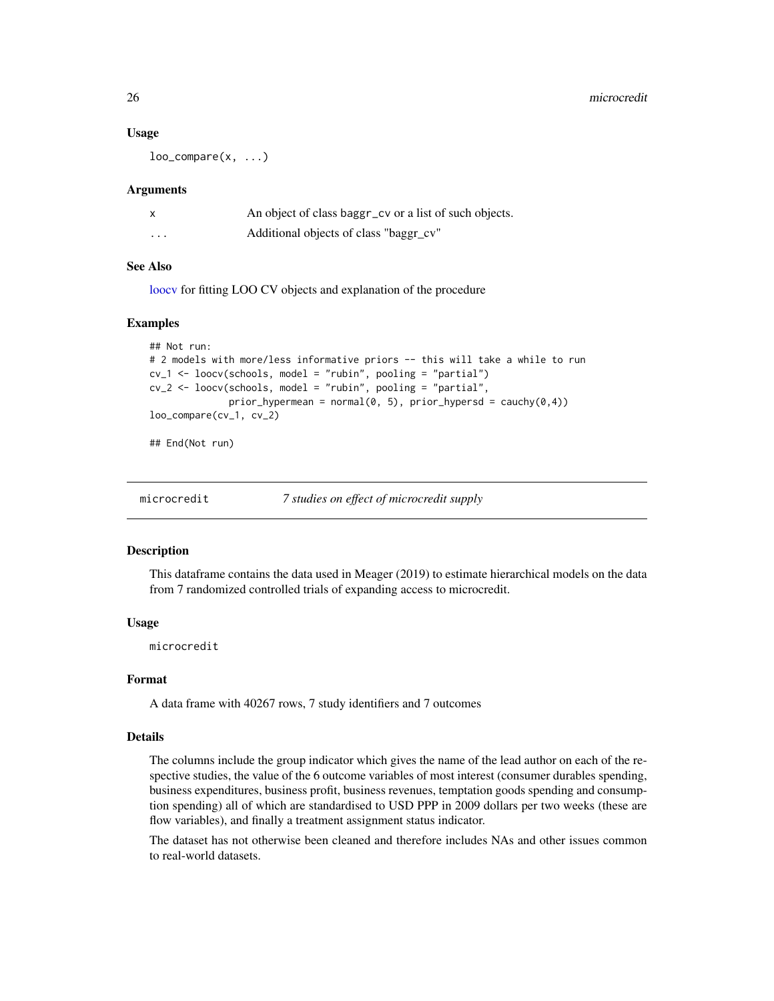#### Usage

 $loo\_compare(x, \ldots)$ 

#### **Arguments**

|         | An object of class baggr_cv or a list of such objects. |
|---------|--------------------------------------------------------|
| $\cdot$ | Additional objects of class "baggr_cv"                 |

## See Also

[loocv](#page-23-1) for fitting LOO CV objects and explanation of the procedure

#### Examples

```
## Not run:
# 2 models with more/less informative priors -- this will take a while to run
cv_1 <- loocv(schools, model = "rubin", pooling = "partial")
cv_2 <- loocv(schools, model = "rubin", pooling = "partial",
              prior_hypermean = normal(0, 5), prior_hypersd = cauchy(0,4))
loo_compare(cv_1, cv_2)
```
## End(Not run)

#### **Description**

This dataframe contains the data used in Meager (2019) to estimate hierarchical models on the data from 7 randomized controlled trials of expanding access to microcredit.

#### Usage

microcredit

#### Format

A data frame with 40267 rows, 7 study identifiers and 7 outcomes

#### Details

The columns include the group indicator which gives the name of the lead author on each of the respective studies, the value of the 6 outcome variables of most interest (consumer durables spending, business expenditures, business profit, business revenues, temptation goods spending and consumption spending) all of which are standardised to USD PPP in 2009 dollars per two weeks (these are flow variables), and finally a treatment assignment status indicator.

The dataset has not otherwise been cleaned and therefore includes NAs and other issues common to real-world datasets.

<span id="page-25-0"></span>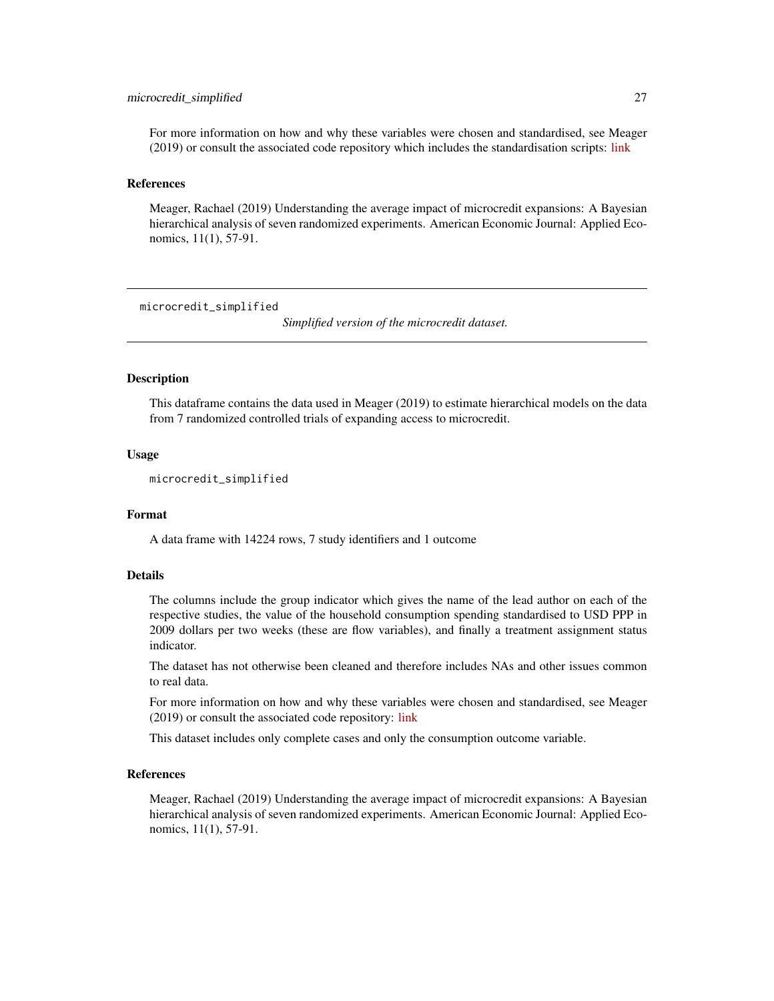#### <span id="page-26-0"></span>microcredit\_simplified 27

For more information on how and why these variables were chosen and standardised, see Meager (2019) or consult the associated code repository which includes the standardisation scripts: [link](https://bitbucket.org/rmeager/aggregate-average-impacts-microcredit/src/master/)

#### References

Meager, Rachael (2019) Understanding the average impact of microcredit expansions: A Bayesian hierarchical analysis of seven randomized experiments. American Economic Journal: Applied Economics, 11(1), 57-91.

microcredit\_simplified

*Simplified version of the microcredit dataset.*

#### **Description**

This dataframe contains the data used in Meager (2019) to estimate hierarchical models on the data from 7 randomized controlled trials of expanding access to microcredit.

#### Usage

microcredit\_simplified

## Format

A data frame with 14224 rows, 7 study identifiers and 1 outcome

#### Details

The columns include the group indicator which gives the name of the lead author on each of the respective studies, the value of the household consumption spending standardised to USD PPP in 2009 dollars per two weeks (these are flow variables), and finally a treatment assignment status indicator.

The dataset has not otherwise been cleaned and therefore includes NAs and other issues common to real data.

For more information on how and why these variables were chosen and standardised, see Meager (2019) or consult the associated code repository: [link](https://bitbucket.org/rmeager/aggregate-average-impacts-microcredit/src/master/)

This dataset includes only complete cases and only the consumption outcome variable.

#### References

Meager, Rachael (2019) Understanding the average impact of microcredit expansions: A Bayesian hierarchical analysis of seven randomized experiments. American Economic Journal: Applied Economics, 11(1), 57-91.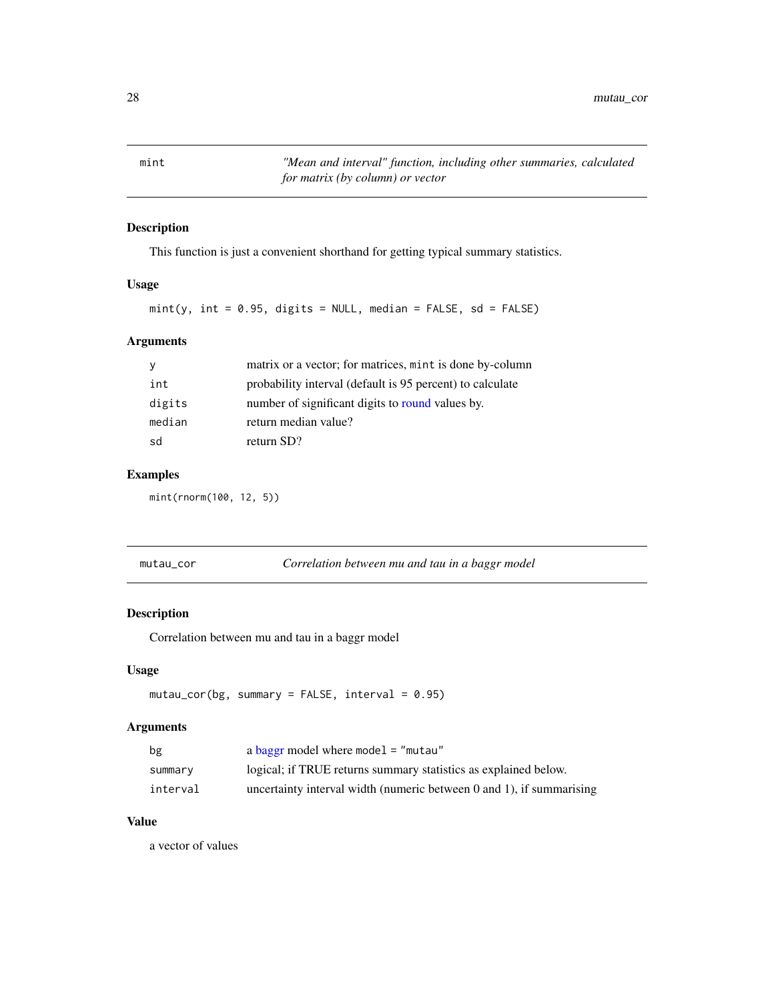<span id="page-27-0"></span>mint *"Mean and interval" function, including other summaries, calculated for matrix (by column) or vector*

## Description

This function is just a convenient shorthand for getting typical summary statistics.

## Usage

```
mint(y, int = 0.95, digits = NULL, median = FALSE, sd = FALSE)
```
## Arguments

| <b>y</b> | matrix or a vector; for matrices, mint is done by-column  |
|----------|-----------------------------------------------------------|
| int      | probability interval (default is 95 percent) to calculate |
| digits   | number of significant digits to round values by.          |
| median   | return median value?                                      |
| sd       | return SD?                                                |

## Examples

mint(rnorm(100, 12, 5))

| mutau_cor |  |
|-----------|--|
|-----------|--|

Correlation between mu and tau in a baggr model

## Description

Correlation between mu and tau in a baggr model

### Usage

```
mutau_cor(bg, summary = FALSE, interval = 0.95)
```
## Arguments

| bg       | a baggr model where model = "mutau"                                       |
|----------|---------------------------------------------------------------------------|
| summary  | logical; if TRUE returns summary statistics as explained below.           |
| interval | uncertainty interval width (numeric between $0$ and $1$ ), if summarising |

## Value

a vector of values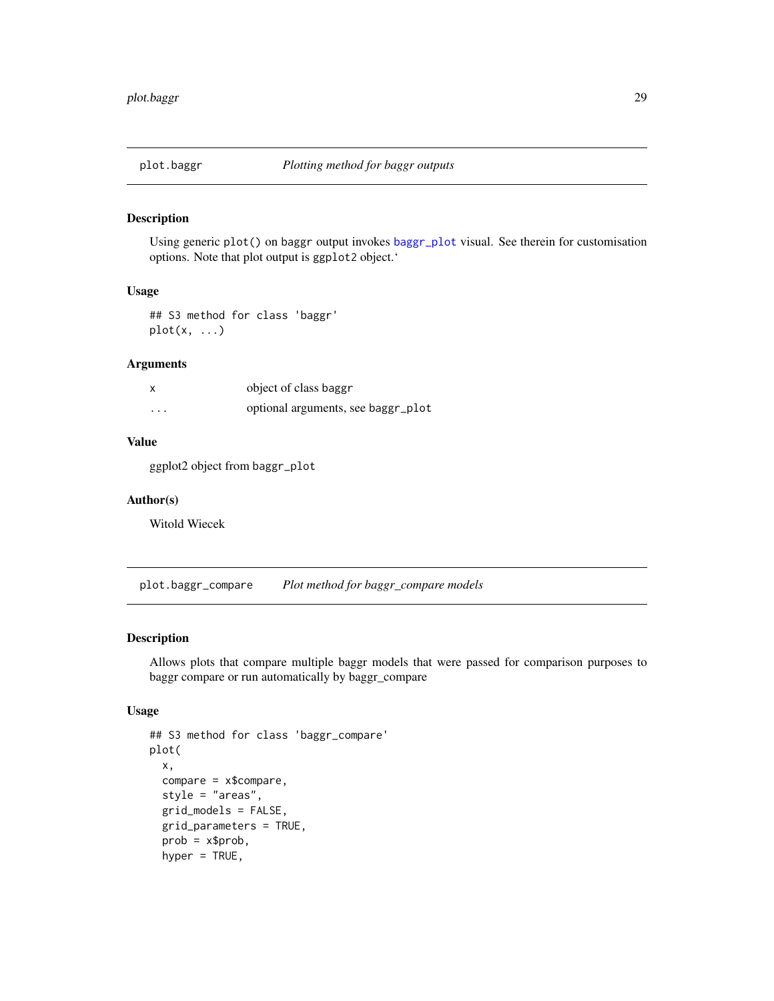<span id="page-28-0"></span>

Using generic plot() on baggr output invokes [baggr\\_plot](#page-9-1) visual. See therein for customisation options. Note that plot output is ggplot2 object.'

## Usage

## S3 method for class 'baggr'  $plot(x, \ldots)$ 

## Arguments

| X        | object of class baggr              |
|----------|------------------------------------|
| $\cdots$ | optional arguments, see baggr_plot |

## Value

ggplot2 object from baggr\_plot

## Author(s)

Witold Wiecek

<span id="page-28-1"></span>plot.baggr\_compare *Plot method for baggr\_compare models*

## Description

Allows plots that compare multiple baggr models that were passed for comparison purposes to baggr compare or run automatically by baggr\_compare

#### Usage

```
## S3 method for class 'baggr_compare'
plot(
 x,
 compare = x$compare,
  style = "areas",
  grid_models = FALSE,
 grid_parameters = TRUE,
 prob = x$prob,hyper = TRUE,
```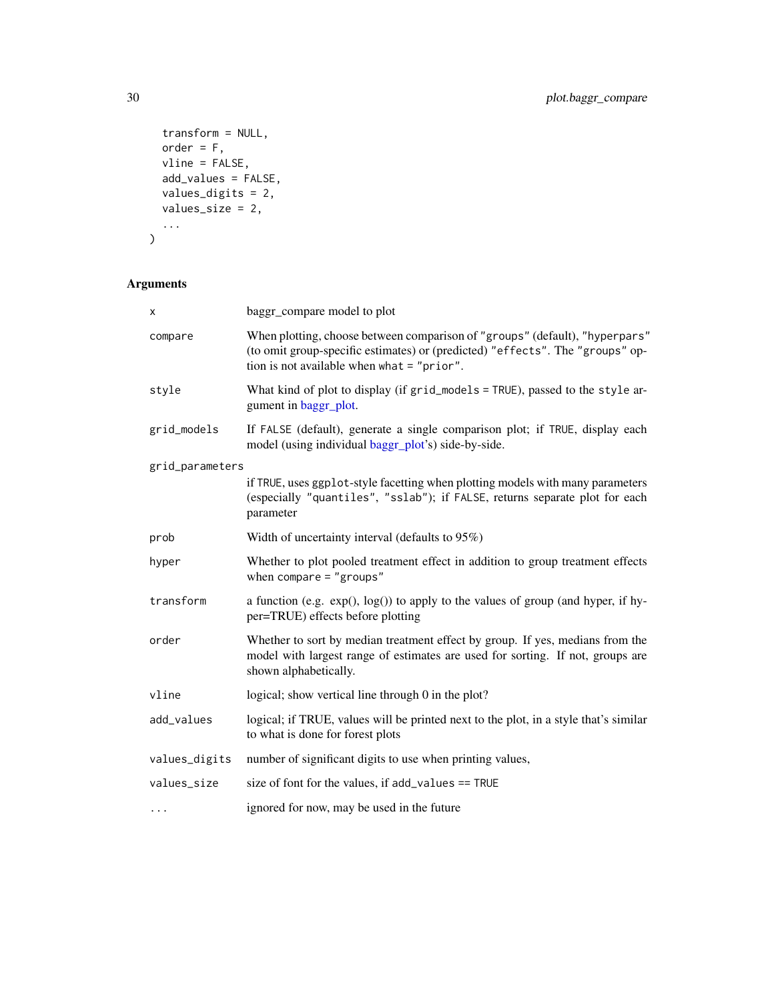```
transform = NULL,
  order = F,
  vline = FALSE,
  add_values = FALSE,
  values_digits = 2,
  values_size = 2,
  ...
\lambda
```
## Arguments

| х               | baggr_compare model to plot                                                                                                                                                                                  |
|-----------------|--------------------------------------------------------------------------------------------------------------------------------------------------------------------------------------------------------------|
| compare         | When plotting, choose between comparison of "groups" (default), "hyperpars"<br>(to omit group-specific estimates) or (predicted) "effects". The "groups" op-<br>tion is not available when what $=$ "prior". |
| style           | What kind of plot to display (if grid_models = TRUE), passed to the style ar-<br>gument in baggr_plot.                                                                                                       |
| grid_models     | If FALSE (default), generate a single comparison plot; if TRUE, display each<br>model (using individual baggr_plot's) side-by-side.                                                                          |
| grid_parameters |                                                                                                                                                                                                              |
|                 | if TRUE, uses ggp1ot-style facetting when plotting models with many parameters<br>(especially "quantiles", "sslab"); if FALSE, returns separate plot for each<br>parameter                                   |
| prob            | Width of uncertainty interval (defaults to 95%)                                                                                                                                                              |
| hyper           | Whether to plot pooled treatment effect in addition to group treatment effects<br>when compare $=$ "groups"                                                                                                  |
| transform       | a function (e.g. $exp($ ), $log($ )) to apply to the values of group (and hyper, if hy-<br>per=TRUE) effects before plotting                                                                                 |
| order           | Whether to sort by median treatment effect by group. If yes, medians from the<br>model with largest range of estimates are used for sorting. If not, groups are<br>shown alphabetically.                     |
| vline           | logical; show vertical line through 0 in the plot?                                                                                                                                                           |
| add_values      | logical; if TRUE, values will be printed next to the plot, in a style that's similar<br>to what is done for forest plots                                                                                     |
| values_digits   | number of significant digits to use when printing values,                                                                                                                                                    |
| values_size     | size of font for the values, if $add_values == TRUE$                                                                                                                                                         |
| $\cdots$        | ignored for now, may be used in the future                                                                                                                                                                   |

<span id="page-29-0"></span>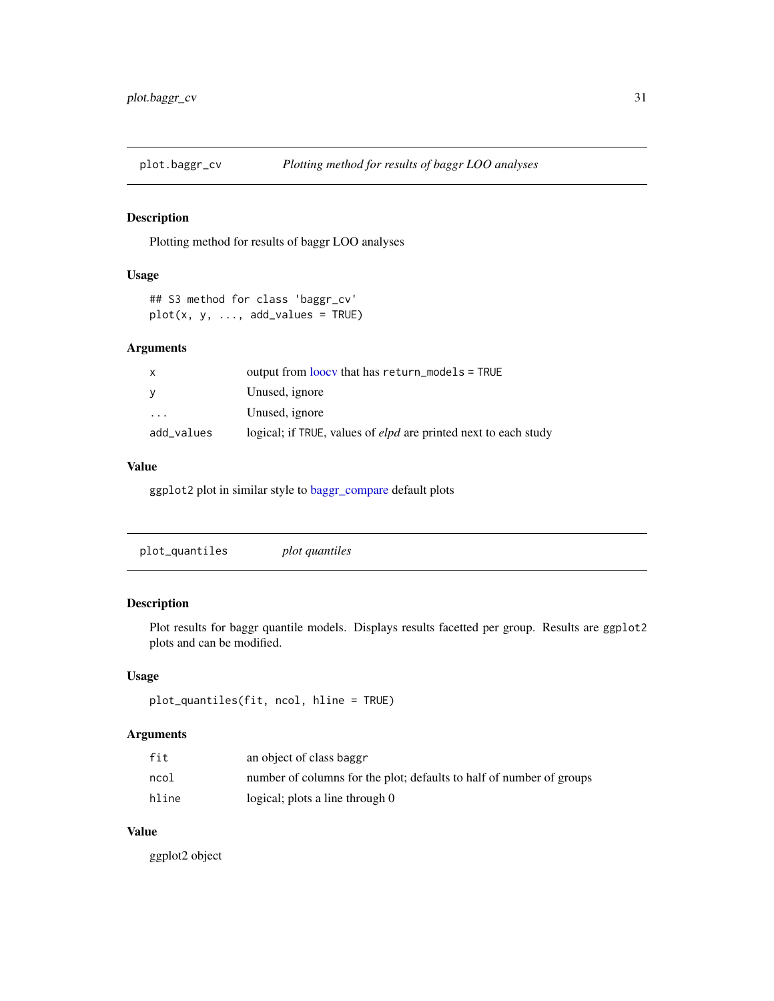<span id="page-30-1"></span><span id="page-30-0"></span>

Plotting method for results of baggr LOO analyses

## Usage

```
## S3 method for class 'baggr_cv'
plot(x, y, ..., add_values = TRUE)
```
## Arguments

| x          | output from loocy that has $return_models = TRUE$                      |
|------------|------------------------------------------------------------------------|
| V          | Unused, ignore                                                         |
| $\cdot$    | Unused, ignore                                                         |
| add_values | logical; if TRUE, values of <i>elpd</i> are printed next to each study |

## Value

ggplot2 plot in similar style to [baggr\\_compare](#page-7-1) default plots

| plot quantiles |  |
|----------------|--|
|                |  |

## Description

Plot results for baggr quantile models. Displays results facetted per group. Results are ggplot2 plots and can be modified.

## Usage

```
plot_quantiles(fit, ncol, hline = TRUE)
```
## Arguments

| fit   | an object of class baggr                                             |
|-------|----------------------------------------------------------------------|
| ncol  | number of columns for the plot; defaults to half of number of groups |
| hline | logical; plots a line through 0                                      |

## Value

ggplot2 object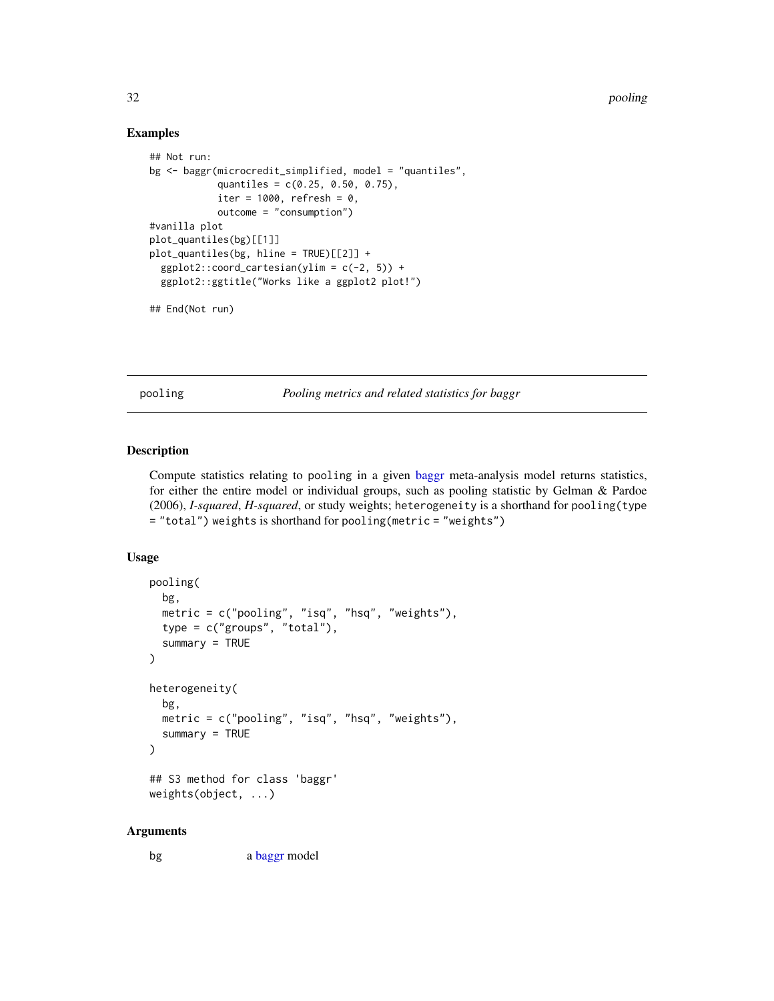#### Examples

```
## Not run:
bg <- baggr(microcredit_simplified, model = "quantiles",
            quantiles = c(0.25, 0.50, 0.75),
            iter = 1000, refresh = 0,
            outcome = "consumption")
#vanilla plot
plot_quantiles(bg)[[1]]
plot_quantiles(bg, hline = TRUE)[[2]] +
  ggplot2::coord\_cartesian(ylim = c(-2, 5)) +ggplot2::ggtitle("Works like a ggplot2 plot!")
## End(Not run)
```
pooling *Pooling metrics and related statistics for baggr*

## Description

Compute statistics relating to pooling in a given [baggr](#page-3-1) meta-analysis model returns statistics, for either the entire model or individual groups, such as pooling statistic by Gelman & Pardoe (2006), *I-squared*, *H-squared*, or study weights; heterogeneity is a shorthand for pooling(type = "total") weights is shorthand for pooling(metric = "weights")

## Usage

```
pooling(
  bg,
  metric = c("pooling", "isq", "hsq", "weights"),
  type = c("groups", "total"),
  summary = TRUE)
heterogeneity(
 bg,
 metric = c("pooling", "isq", "hsq", "weights"),
  summary = TRUE)
## S3 method for class 'baggr'
```

```
weights(object, ...)
```
#### Arguments

bg a [baggr](#page-3-1) model

<span id="page-31-0"></span>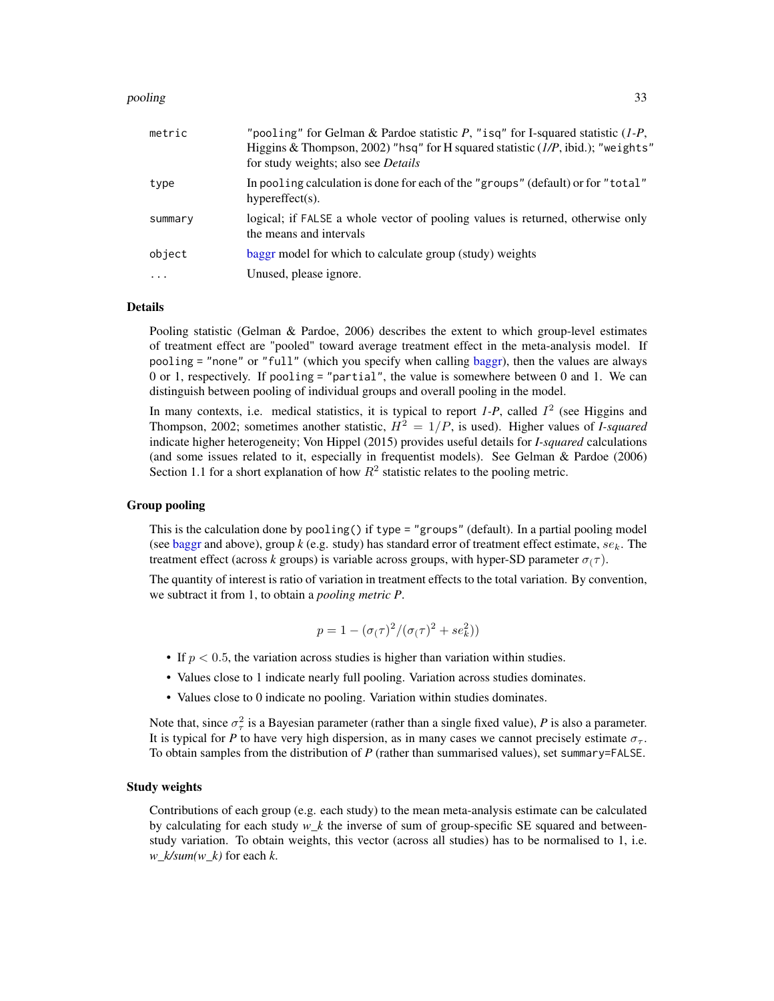#### <span id="page-32-0"></span>pooling 33

| metric    | "pooling" for Gelman & Pardoe statistic $P$ , "isq" for I-squared statistic $(I-P)$ ,<br>Higgins & Thompson, 2002) "hsq" for H squared statistic (1/P, ibid.); "weights"<br>for study weights; also see <i>Details</i> |
|-----------|------------------------------------------------------------------------------------------------------------------------------------------------------------------------------------------------------------------------|
| type      | In pooling calculation is done for each of the "groups" (default) or for "total"<br>hypereffect $(s)$ .                                                                                                                |
| summary   | logical; if FALSE a whole vector of pooling values is returned, otherwise only<br>the means and intervals                                                                                                              |
| object    | baggr model for which to calculate group (study) weights                                                                                                                                                               |
| $\ddotsc$ | Unused, please ignore.                                                                                                                                                                                                 |

#### Details

Pooling statistic (Gelman & Pardoe, 2006) describes the extent to which group-level estimates of treatment effect are "pooled" toward average treatment effect in the meta-analysis model. If pooling = "none" or "full" (which you specify when calling [baggr\)](#page-3-1), then the values are always 0 or 1, respectively. If pooling = "partial", the value is somewhere between 0 and 1. We can distinguish between pooling of individual groups and overall pooling in the model.

In many contexts, i.e. medical statistics, it is typical to report  $1-P$ , called  $I<sup>2</sup>$  (see Higgins and Thompson, 2002; sometimes another statistic,  $H^2 = 1/P$ , is used). Higher values of *I-squared* indicate higher heterogeneity; Von Hippel (2015) provides useful details for *I-squared* calculations (and some issues related to it, especially in frequentist models). See Gelman & Pardoe (2006) Section 1.1 for a short explanation of how  $R^2$  statistic relates to the pooling metric.

#### Group pooling

This is the calculation done by pooling() if type = "groups" (default). In a partial pooling model (see [baggr](#page-3-1) and above), group  $k$  (e.g. study) has standard error of treatment effect estimate,  $se_k$ . The treatment effect (across *k* groups) is variable across groups, with hyper-SD parameter  $\sigma(\tau)$ .

The quantity of interest is ratio of variation in treatment effects to the total variation. By convention, we subtract it from 1, to obtain a *pooling metric P*.

$$
p = 1 - (\sigma(\tau)^2 / (\sigma(\tau)^2 + s e_k^2))
$$

- If  $p < 0.5$ , the variation across studies is higher than variation within studies.
- Values close to 1 indicate nearly full pooling. Variation across studies dominates.
- Values close to 0 indicate no pooling. Variation within studies dominates.

Note that, since  $\sigma_{\tau}^2$  is a Bayesian parameter (rather than a single fixed value), *P* is also a parameter. It is typical for *P* to have very high dispersion, as in many cases we cannot precisely estimate  $\sigma_{\tau}$ . To obtain samples from the distribution of *P* (rather than summarised values), set summary=FALSE.

#### Study weights

Contributions of each group (e.g. each study) to the mean meta-analysis estimate can be calculated by calculating for each study *w\_k* the inverse of sum of group-specific SE squared and betweenstudy variation. To obtain weights, this vector (across all studies) has to be normalised to 1, i.e. *w\_k/sum(w\_k)* for each *k*.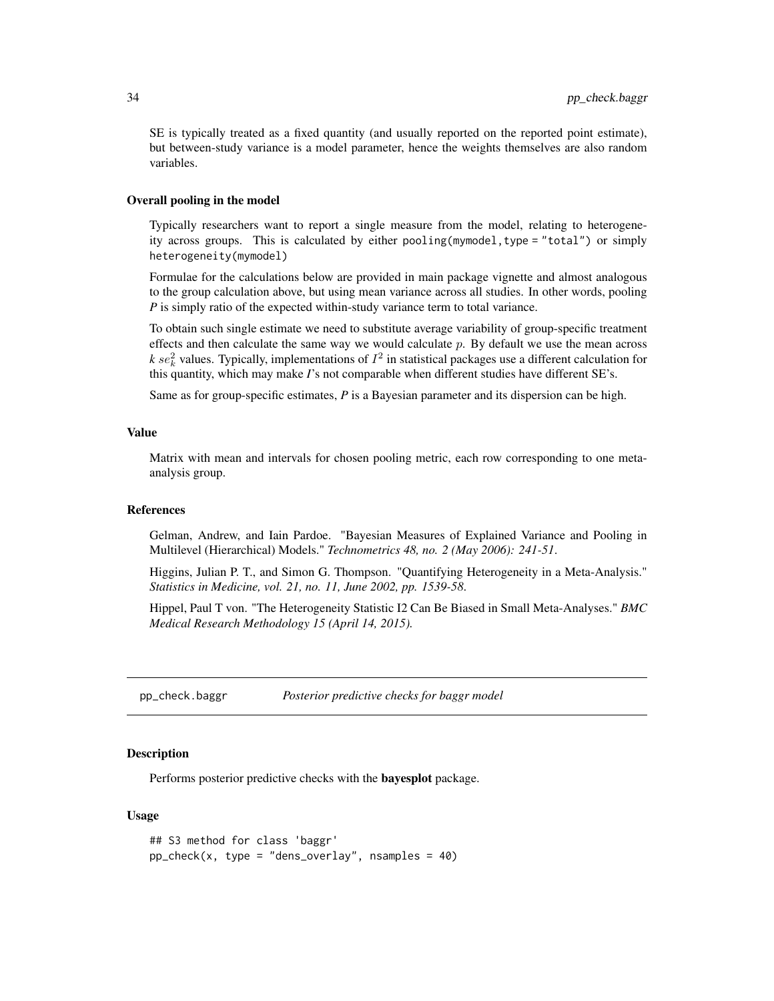<span id="page-33-0"></span>SE is typically treated as a fixed quantity (and usually reported on the reported point estimate), but between-study variance is a model parameter, hence the weights themselves are also random variables.

## Overall pooling in the model

Typically researchers want to report a single measure from the model, relating to heterogeneity across groups. This is calculated by either pooling(mymodel,type = "total") or simply heterogeneity(mymodel)

Formulae for the calculations below are provided in main package vignette and almost analogous to the group calculation above, but using mean variance across all studies. In other words, pooling *P* is simply ratio of the expected within-study variance term to total variance.

To obtain such single estimate we need to substitute average variability of group-specific treatment effects and then calculate the same way we would calculate  $p$ . By default we use the mean across  $k$  se<sup>2</sup><sub>k</sub> values. Typically, implementations of  $I^2$  in statistical packages use a different calculation for this quantity, which may make *I*'s not comparable when different studies have different SE's.

Same as for group-specific estimates, *P* is a Bayesian parameter and its dispersion can be high.

#### Value

Matrix with mean and intervals for chosen pooling metric, each row corresponding to one metaanalysis group.

#### References

Gelman, Andrew, and Iain Pardoe. "Bayesian Measures of Explained Variance and Pooling in Multilevel (Hierarchical) Models." *Technometrics 48, no. 2 (May 2006): 241-51*.

Higgins, Julian P. T., and Simon G. Thompson. "Quantifying Heterogeneity in a Meta-Analysis." *Statistics in Medicine, vol. 21, no. 11, June 2002, pp. 1539-58*.

Hippel, Paul T von. "The Heterogeneity Statistic I2 Can Be Biased in Small Meta-Analyses." *BMC Medical Research Methodology 15 (April 14, 2015).*

pp\_check.baggr *Posterior predictive checks for baggr model*

#### <span id="page-33-1"></span>**Description**

Performs posterior predictive checks with the bayesplot package.

#### Usage

```
## S3 method for class 'baggr'
pp\_check(x, type = "dens\_overlap", samples = 40)
```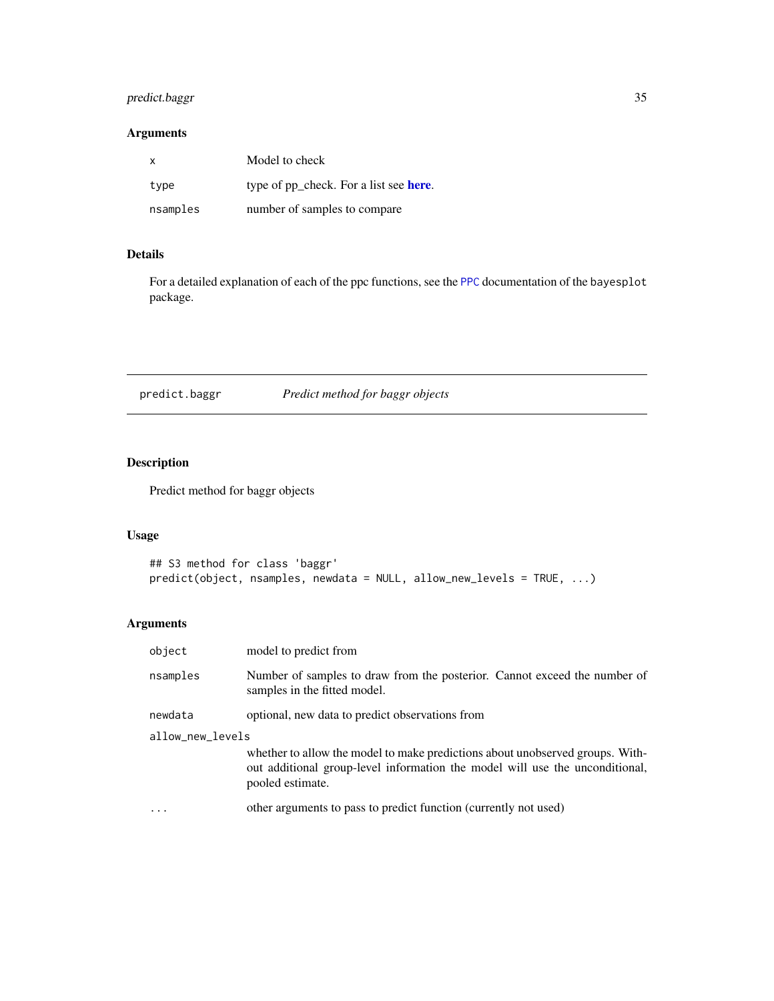## <span id="page-34-0"></span>predict.baggr 35

## Arguments

| x        | Model to check                         |
|----------|----------------------------------------|
| type     | type of pp_check. For a list see here. |
| nsamples | number of samples to compare           |

## Details

For a detailed explanation of each of the ppc functions, see the [PPC](#page-0-0) documentation of the bayesplot package.

predict.baggr *Predict method for baggr objects*

## Description

Predict method for baggr objects

## Usage

```
## S3 method for class 'baggr'
predict(object, nsamples, newdata = NULL, allow_new_levels = TRUE, ...)
```
## Arguments

| object           | model to predict from                                                                                                                                                             |  |
|------------------|-----------------------------------------------------------------------------------------------------------------------------------------------------------------------------------|--|
| nsamples         | Number of samples to draw from the posterior. Cannot exceed the number of<br>samples in the fitted model.                                                                         |  |
| newdata          | optional, new data to predict observations from                                                                                                                                   |  |
| allow_new_levels |                                                                                                                                                                                   |  |
|                  | whether to allow the model to make predictions about unobserved groups. With-<br>out additional group-level information the model will use the unconditional,<br>pooled estimate. |  |
| $\ddotsc$        | other arguments to pass to predict function (currently not used)                                                                                                                  |  |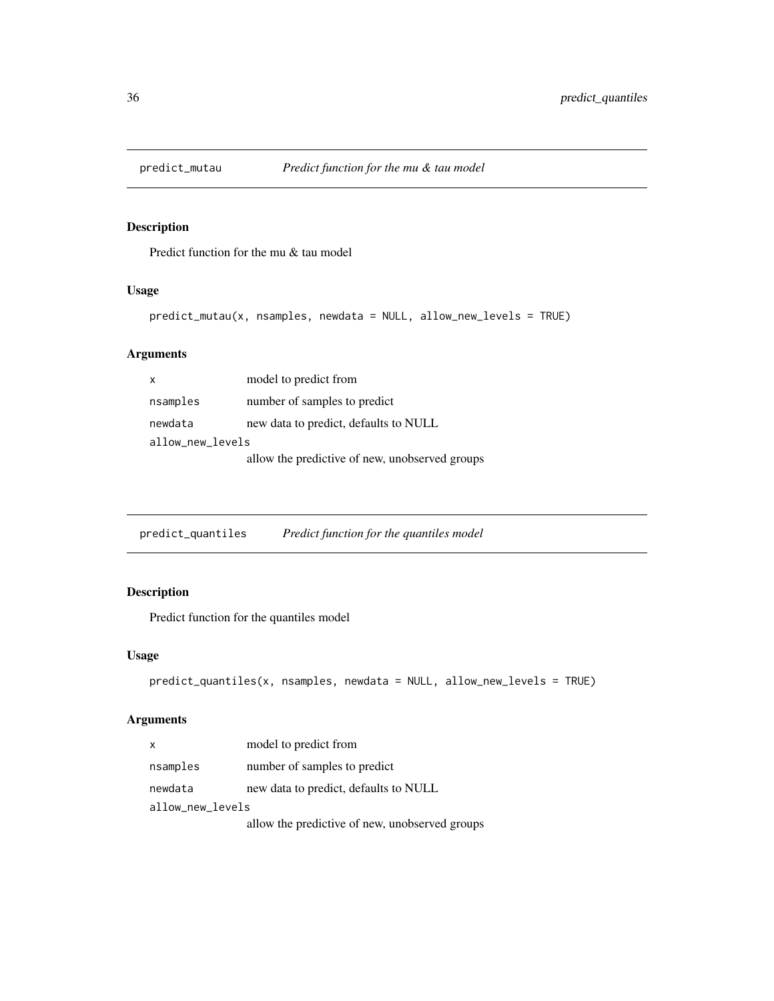<span id="page-35-0"></span>

Predict function for the mu & tau model

## Usage

```
predict_mutau(x, nsamples, newdata = NULL, allow_new_levels = TRUE)
```
## Arguments

| X                | model to predict from                          |  |
|------------------|------------------------------------------------|--|
| nsamples         | number of samples to predict                   |  |
| newdata          | new data to predict, defaults to NULL          |  |
| allow_new_levels |                                                |  |
|                  | allow the predictive of new, unobserved groups |  |

predict\_quantiles *Predict function for the quantiles model*

## Description

Predict function for the quantiles model

## Usage

```
predict_quantiles(x, nsamples, newdata = NULL, allow_new_levels = TRUE)
```
## Arguments

| X                | model to predict from                          |  |
|------------------|------------------------------------------------|--|
| nsamples         | number of samples to predict                   |  |
| newdata          | new data to predict, defaults to NULL          |  |
| allow_new_levels |                                                |  |
|                  | allow the predictive of new, unobserved groups |  |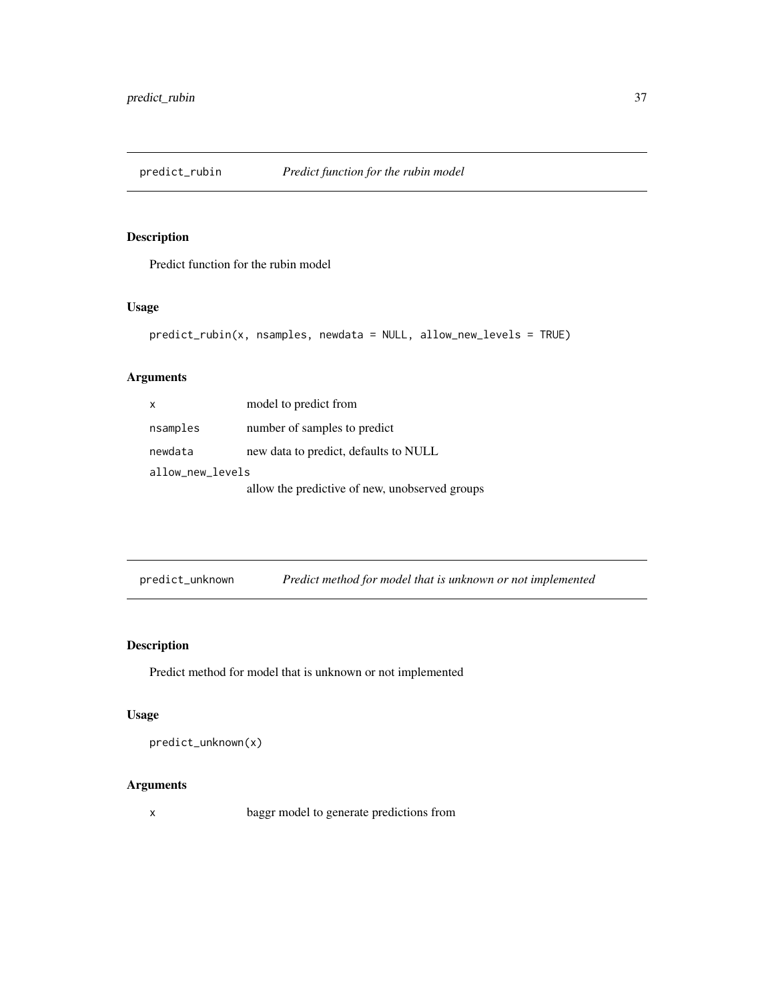<span id="page-36-0"></span>

Predict function for the rubin model

## Usage

```
predict_rubin(x, nsamples, newdata = NULL, allow_new_levels = TRUE)
```
## Arguments

| x                | model to predict from                          |  |
|------------------|------------------------------------------------|--|
| nsamples         | number of samples to predict                   |  |
| newdata          | new data to predict, defaults to NULL          |  |
| allow_new_levels |                                                |  |
|                  | allow the predictive of new, unobserved groups |  |

predict\_unknown *Predict method for model that is unknown or not implemented*

## Description

Predict method for model that is unknown or not implemented

## Usage

predict\_unknown(x)

## Arguments

x baggr model to generate predictions from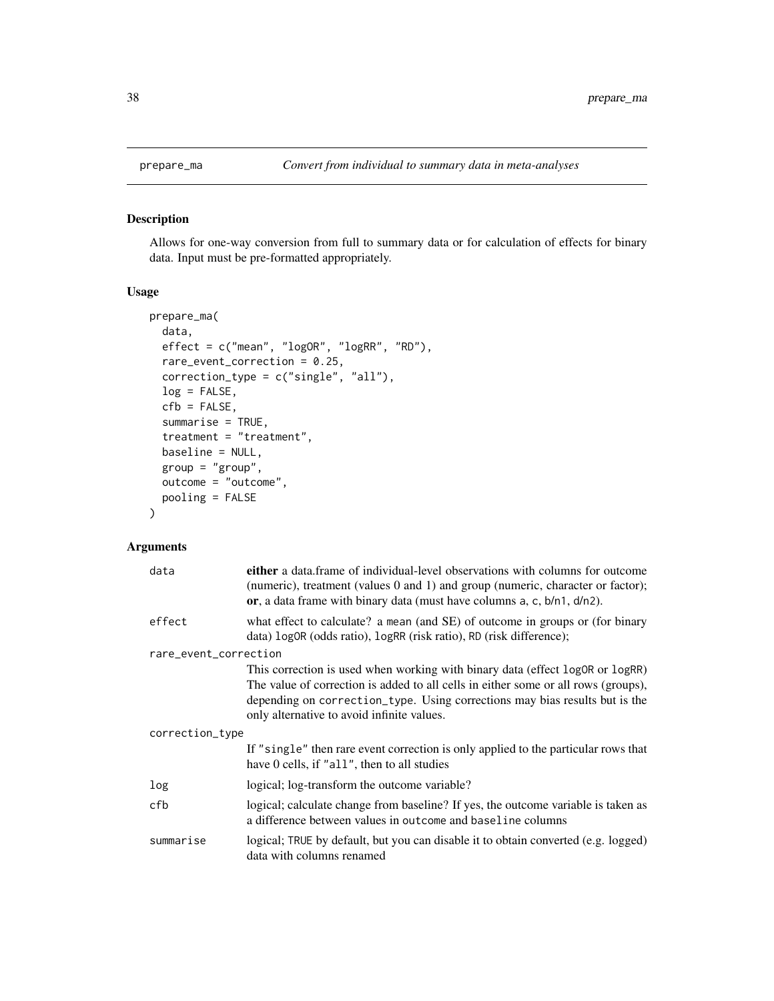Allows for one-way conversion from full to summary data or for calculation of effects for binary data. Input must be pre-formatted appropriately.

## Usage

```
prepare_ma(
 data,
 effect = c("mean", "logOR", "logRR", "RD"),
 rare_event_correction = 0.25,
 correction_type = c("single", "all"),
 log = FALSE,
  cfb = FALSE,summarise = TRUE,
  treatment = "treatment",
 baseline = NULL,
  group = "group",
 outcome = "outcome",
 pooling = FALSE
\mathcal{E}
```
## Arguments

| data                  | either a data frame of individual-level observations with columns for outcome<br>(numeric), treatment (values 0 and 1) and group (numeric, character or factor);<br>or, a data frame with binary data (must have columns $a$ , c, $b/n1$ , $d/n2$ ).                                             |  |
|-----------------------|--------------------------------------------------------------------------------------------------------------------------------------------------------------------------------------------------------------------------------------------------------------------------------------------------|--|
| effect                | what effect to calculate? a mean (and SE) of outcome in groups or (for binary<br>data) logOR (odds ratio), logRR (risk ratio), RD (risk difference);                                                                                                                                             |  |
| rare_event_correction |                                                                                                                                                                                                                                                                                                  |  |
|                       | This correction is used when working with binary data (effect logOR or logRR)<br>The value of correction is added to all cells in either some or all rows (groups),<br>depending on correction_type. Using corrections may bias results but is the<br>only alternative to avoid infinite values. |  |
| correction_type       |                                                                                                                                                                                                                                                                                                  |  |
|                       | If "single" then rare event correction is only applied to the particular rows that<br>have 0 cells, if "all", then to all studies                                                                                                                                                                |  |
| log                   | logical; log-transform the outcome variable?                                                                                                                                                                                                                                                     |  |
| cfb                   | logical; calculate change from baseline? If yes, the outcome variable is taken as<br>a difference between values in outcome and baseline columns                                                                                                                                                 |  |
| summarise             | logical; TRUE by default, but you can disable it to obtain converted (e.g. logged)<br>data with columns renamed                                                                                                                                                                                  |  |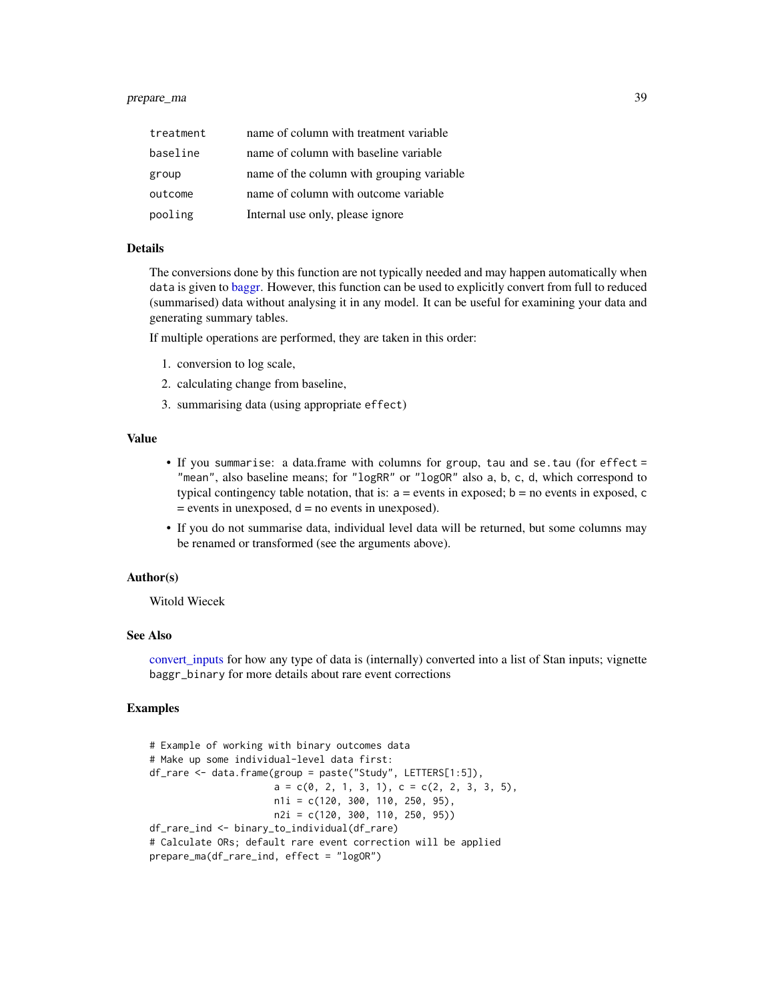## <span id="page-38-0"></span>prepare\_ma 39

| treatment | name of column with treatment variable    |
|-----------|-------------------------------------------|
| baseline  | name of column with baseline variable     |
| group     | name of the column with grouping variable |
| outcome   | name of column with outcome variable      |
| pooling   | Internal use only, please ignore          |

#### **Details**

The conversions done by this function are not typically needed and may happen automatically when data is given to [baggr.](#page-3-1) However, this function can be used to explicitly convert from full to reduced (summarised) data without analysing it in any model. It can be useful for examining your data and generating summary tables.

If multiple operations are performed, they are taken in this order:

- 1. conversion to log scale,
- 2. calculating change from baseline,
- 3. summarising data (using appropriate effect)

## Value

- If you summarise: a data.frame with columns for group, tau and se.tau (for effect = "mean", also baseline means; for "logRR" or "logOR" also a, b, c, d, which correspond to typical contingency table notation, that is:  $a =$  events in exposed;  $b =$  no events in exposed, c  $=$  events in unexposed,  $d =$  no events in unexposed).
- If you do not summarise data, individual level data will be returned, but some columns may be renamed or transformed (see the arguments above).

## Author(s)

Witold Wiecek

## See Also

[convert\\_inputs](#page-14-1) for how any type of data is (internally) converted into a list of Stan inputs; vignette baggr\_binary for more details about rare event corrections

#### Examples

```
# Example of working with binary outcomes data
# Make up some individual-level data first:
df_rare <- data.frame(group = paste("Study", LETTERS[1:5]),
                     a = c(0, 2, 1, 3, 1), c = c(2, 2, 3, 3, 5),n1i = c(120, 300, 110, 250, 95),
                     n2i = c(120, 300, 110, 250, 95))
df_rare_ind <- binary_to_individual(df_rare)
# Calculate ORs; default rare event correction will be applied
prepare_ma(df_rare_ind, effect = "logOR")
```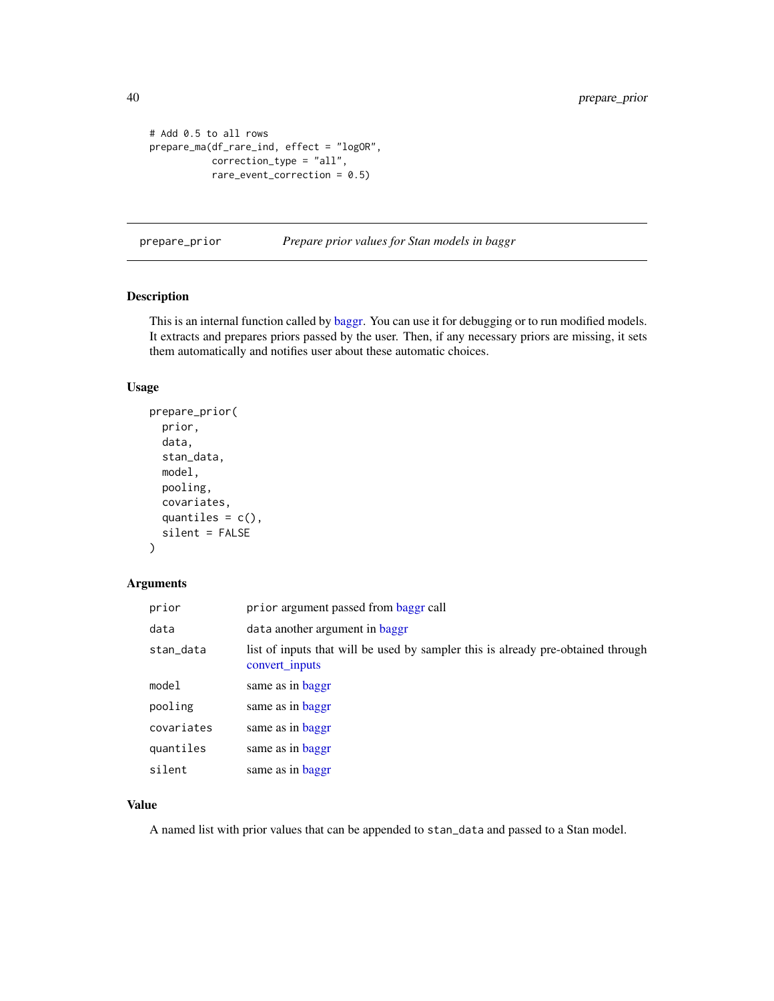```
# Add 0.5 to all rows
prepare_ma(df_rare_ind, effect = "logOR",
           correction_type = "all",
           rare_event_correction = 0.5)
```
prepare\_prior *Prepare prior values for Stan models in baggr*

## Description

This is an internal function called by [baggr.](#page-3-1) You can use it for debugging or to run modified models. It extracts and prepares priors passed by the user. Then, if any necessary priors are missing, it sets them automatically and notifies user about these automatic choices.

#### Usage

```
prepare_prior(
  prior,
  data,
  stan_data,
  model,
 pooling,
  covariates,
  quantiles = c(),
  silent = FALSE
)
```
## Arguments

| prior      | prior argument passed from baggr call                                                              |
|------------|----------------------------------------------------------------------------------------------------|
| data       | data another argument in baggr                                                                     |
| stan_data  | list of inputs that will be used by sampler this is already pre-obtained through<br>convert inputs |
| model      | same as in baggr                                                                                   |
| pooling    | same as in baggr                                                                                   |
| covariates | same as in baggr                                                                                   |
| quantiles  | same as in baggr                                                                                   |
| silent     | same as in baggr                                                                                   |

## Value

A named list with prior values that can be appended to stan\_data and passed to a Stan model.

<span id="page-39-0"></span>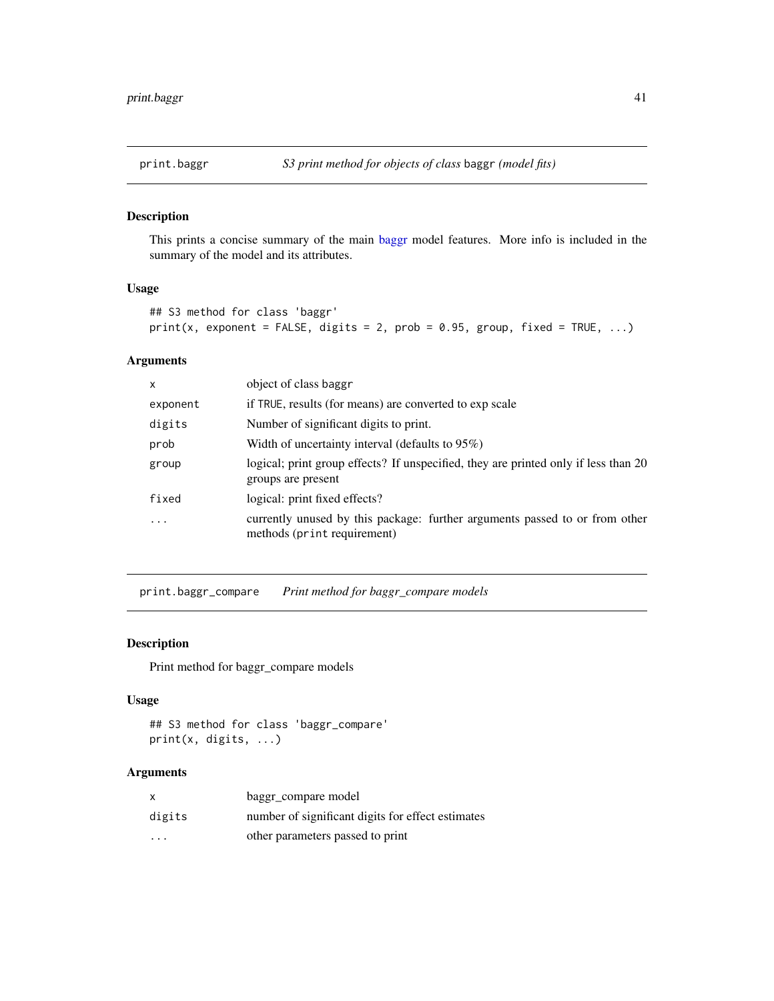<span id="page-40-0"></span>

This prints a concise summary of the main [baggr](#page-3-1) model features. More info is included in the summary of the model and its attributes.

## Usage

```
## S3 method for class 'baggr'
print(x, exponent = FALSE, digits = 2, prob = 0.95, group, fixed = TRUE, ...)
```
## Arguments

| X                       | object of class baggr                                                                                      |
|-------------------------|------------------------------------------------------------------------------------------------------------|
| exponent                | if TRUE, results (for means) are converted to exp scale                                                    |
| digits                  | Number of significant digits to print.                                                                     |
| prob                    | Width of uncertainty interval (defaults to $95\%$ )                                                        |
| group                   | logical; print group effects? If unspecified, they are printed only if less than 20<br>groups are present  |
| fixed                   | logical: print fixed effects?                                                                              |
| $\cdot$ $\cdot$ $\cdot$ | currently unused by this package: further arguments passed to or from other<br>methods (print requirement) |

<span id="page-40-1"></span>print.baggr\_compare *Print method for baggr\_compare models*

#### Description

Print method for baggr\_compare models

#### Usage

```
## S3 method for class 'baggr_compare'
print(x, digits, ...)
```
## Arguments

| x       | baggr compare model                               |
|---------|---------------------------------------------------|
| digits  | number of significant digits for effect estimates |
| $\cdot$ | other parameters passed to print                  |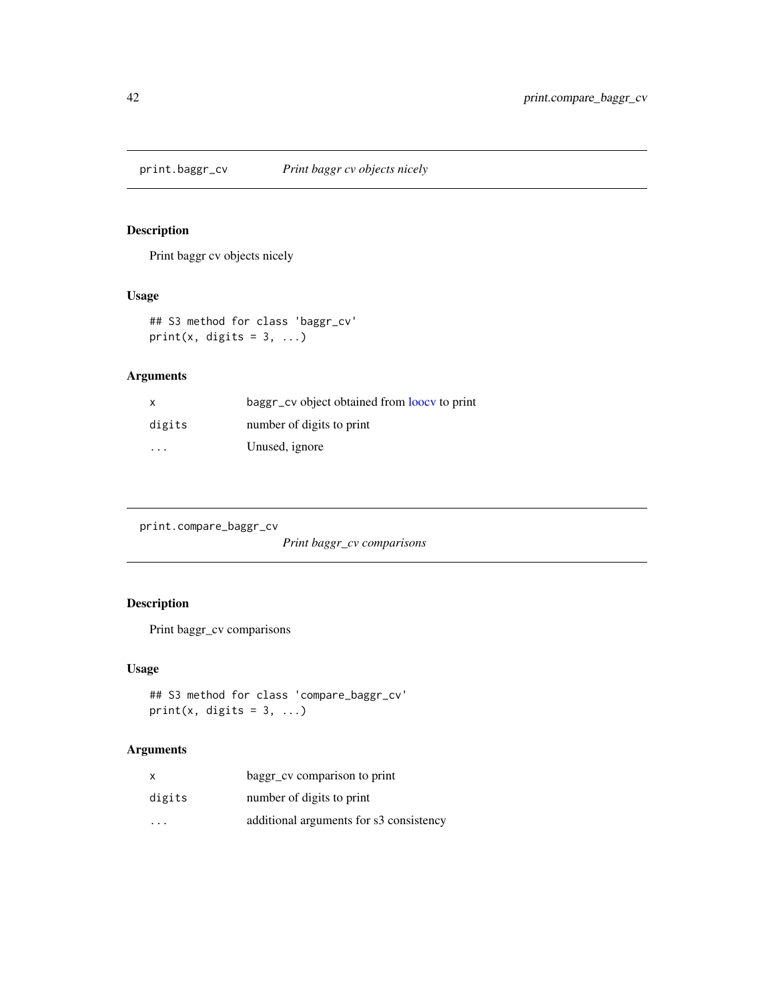<span id="page-41-1"></span><span id="page-41-0"></span>print.baggr\_cv *Print baggr cv objects nicely*

## Description

Print baggr cv objects nicely

## Usage

## S3 method for class 'baggr\_cv' print(x, digits =  $3, ...$ )

## Arguments

| X                       | baggr_cv object obtained from loocy to print |
|-------------------------|----------------------------------------------|
| digits                  | number of digits to print                    |
| $\cdot$ $\cdot$ $\cdot$ | Unused, ignore                               |

print.compare\_baggr\_cv

*Print baggr\_cv comparisons*

## Description

Print baggr\_cv comparisons

## Usage

```
## S3 method for class 'compare_baggr_cv'
print(x, digits = 3, ...)
```
## Arguments

| x                       | baggr_cv comparison to print            |
|-------------------------|-----------------------------------------|
| digits                  | number of digits to print               |
| $\cdot$ $\cdot$ $\cdot$ | additional arguments for s3 consistency |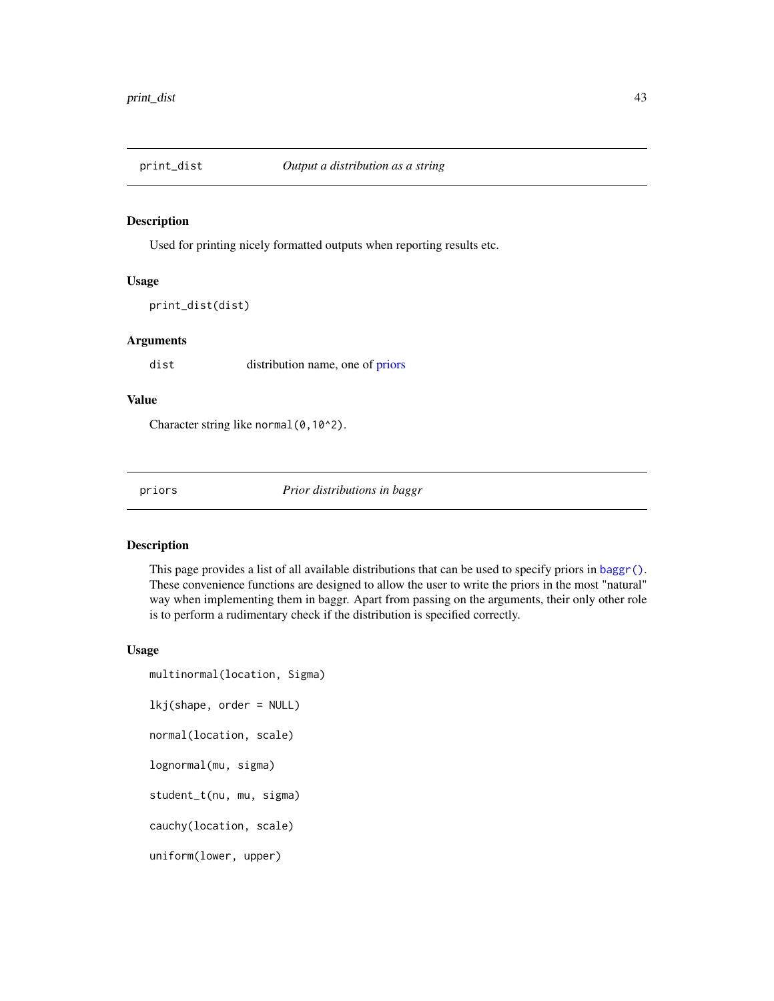<span id="page-42-0"></span>

Used for printing nicely formatted outputs when reporting results etc.

## Usage

```
print_dist(dist)
```
## Arguments

dist distribution name, one of [priors](#page-42-1)

#### Value

Character string like normal (0,10^2).

<span id="page-42-1"></span>priors *Prior distributions in baggr*

## <span id="page-42-2"></span>Description

This page provides a list of all available distributions that can be used to specify priors in [baggr\(\)](#page-3-1). These convenience functions are designed to allow the user to write the priors in the most "natural" way when implementing them in baggr. Apart from passing on the arguments, their only other role is to perform a rudimentary check if the distribution is specified correctly.

#### Usage

```
multinormal(location, Sigma)
lkj(shape, order = NULL)
normal(location, scale)
lognormal(mu, sigma)
student_t(nu, mu, sigma)
cauchy(location, scale)
uniform(lower, upper)
```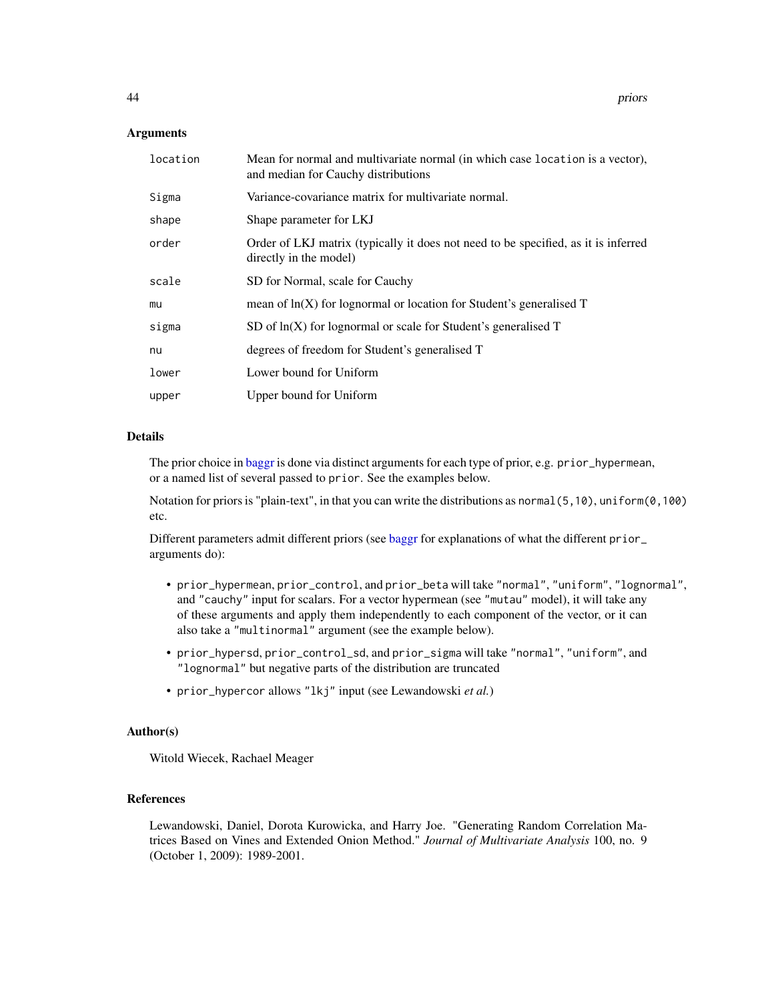#### <span id="page-43-0"></span>Arguments

| location | Mean for normal and multivariate normal (in which case location is a vector),<br>and median for Cauchy distributions |
|----------|----------------------------------------------------------------------------------------------------------------------|
| Sigma    | Variance-covariance matrix for multivariate normal.                                                                  |
| shape    | Shape parameter for LKJ                                                                                              |
| order    | Order of LKJ matrix (typically it does not need to be specified, as it is inferred<br>directly in the model)         |
| scale    | SD for Normal, scale for Cauchy                                                                                      |
| mu       | mean of $ln(X)$ for lognormal or location for Student's generalised $T$                                              |
| sigma    | SD of $ln(X)$ for lognormal or scale for Student's generalised T                                                     |
| nu       | degrees of freedom for Student's generalised T                                                                       |
| lower    | Lower bound for Uniform                                                                                              |
| upper    | Upper bound for Uniform                                                                                              |

## Details

The prior choice in [baggr](#page-3-1) is done via distinct arguments for each type of prior, e.g. prior\_hypermean, or a named list of several passed to prior. See the examples below.

Notation for priors is "plain-text", in that you can write the distributions as normal(5,10), uniform(0,100) etc.

Different parameters admit different priors (see [baggr](#page-3-1) for explanations of what the different prior\_ arguments do):

- prior\_hypermean, prior\_control, and prior\_beta will take "normal", "uniform", "lognormal", and "cauchy" input for scalars. For a vector hypermean (see "mutau" model), it will take any of these arguments and apply them independently to each component of the vector, or it can also take a "multinormal" argument (see the example below).
- prior\_hypersd, prior\_control\_sd, and prior\_sigma will take "normal", "uniform", and "lognormal" but negative parts of the distribution are truncated
- prior\_hypercor allows "lkj" input (see Lewandowski *et al.*)

## Author(s)

Witold Wiecek, Rachael Meager

## References

Lewandowski, Daniel, Dorota Kurowicka, and Harry Joe. "Generating Random Correlation Matrices Based on Vines and Extended Onion Method." *Journal of Multivariate Analysis* 100, no. 9 (October 1, 2009): 1989-2001.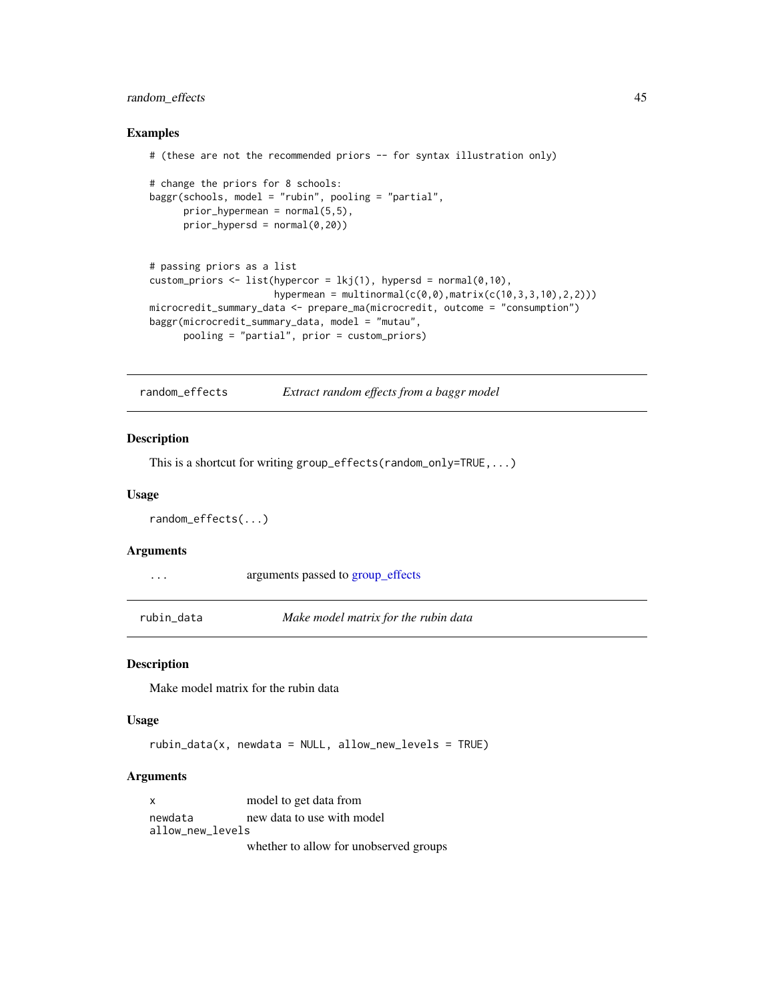## <span id="page-44-0"></span>random\_effects 45

#### Examples

```
# (these are not the recommended priors -- for syntax illustration only)
# change the priors for 8 schools:
baggr(schools, model = "rubin", pooling = "partial",
      prior_{hypermean} = normal(5, 5),
      prior_{hypersd} = normal(0, 20)# passing priors as a list
custom_priors <- list(hypercor = lkj(1), hypersd = normal(0,10),
                      hypermean = multinormal(c(0,0), matrix(c(10,3,3,10), 2, 2)))
microcredit_summary_data <- prepare_ma(microcredit, outcome = "consumption")
baggr(microcredit_summary_data, model = "mutau",
      pooling = "partial", prior = custom_priors)
```
<span id="page-44-1"></span>random\_effects *Extract random effects from a baggr model*

## Description

This is a shortcut for writing group\_effects(random\_only=TRUE,...)

#### Usage

```
random_effects(...)
```
#### Arguments

|  | arguments passed to group_effects |  |  |  |
|--|-----------------------------------|--|--|--|
|--|-----------------------------------|--|--|--|

rubin\_data *Make model matrix for the rubin data*

#### Description

Make model matrix for the rubin data

#### Usage

```
rubin_data(x, newdata = NULL, allow_new_levels = TRUE)
```
#### Arguments

```
x model to get data from
newdata new data to use with model
allow_new_levels
```
whether to allow for unobserved groups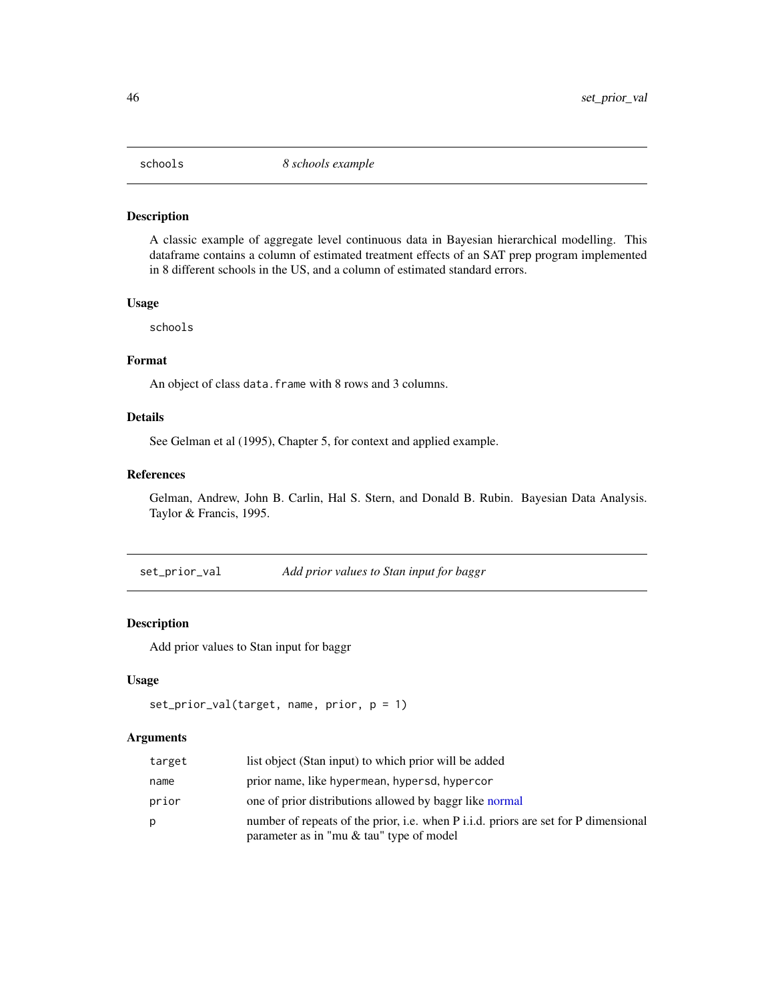<span id="page-45-0"></span>

A classic example of aggregate level continuous data in Bayesian hierarchical modelling. This dataframe contains a column of estimated treatment effects of an SAT prep program implemented in 8 different schools in the US, and a column of estimated standard errors.

#### Usage

schools

## Format

An object of class data. frame with 8 rows and 3 columns.

## Details

See Gelman et al (1995), Chapter 5, for context and applied example.

#### References

Gelman, Andrew, John B. Carlin, Hal S. Stern, and Donald B. Rubin. Bayesian Data Analysis. Taylor & Francis, 1995.

set\_prior\_val *Add prior values to Stan input for baggr*

## Description

Add prior values to Stan input for baggr

## Usage

```
set_prior_val(target, name, prior, p = 1)
```
## Arguments

| target | list object (Stan input) to which prior will be added                                                                                         |
|--------|-----------------------------------------------------------------------------------------------------------------------------------------------|
| name   | prior name, like hypermean, hypersd, hypercor                                                                                                 |
| prior  | one of prior distributions allowed by baggr like normal                                                                                       |
| Ŋ      | number of repeats of the prior, <i>i.e.</i> when P <i>i.i.d.</i> priors are set for P dimensional<br>parameter as in "mu & tau" type of model |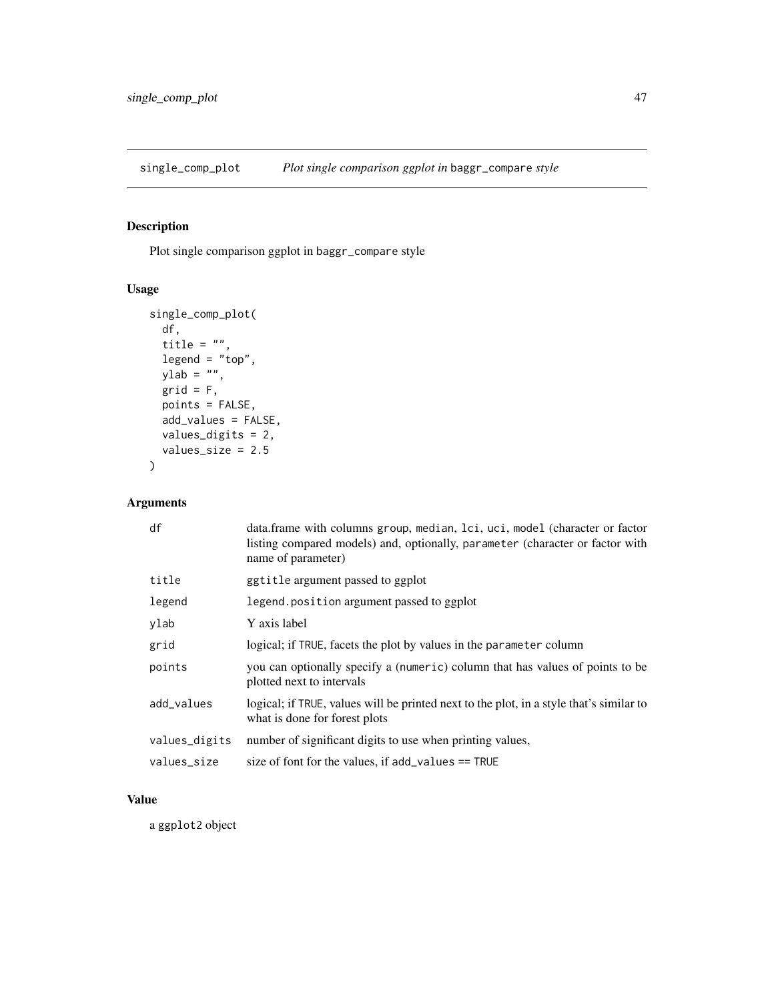<span id="page-46-0"></span>single\_comp\_plot *Plot single comparison ggplot in* baggr\_compare *style*

## Description

Plot single comparison ggplot in baggr\_compare style

## Usage

```
single_comp_plot(
 df,
 title = "",
  legend = "top",ylab = "",grid = F,points = FALSE,
 add_values = FALSE,
 values_digits = 2,
 values_size = 2.5
)
```
## Arguments

| df            | data.frame with columns group, median, lci, uci, model (character or factor<br>listing compared models) and, optionally, parameter (character or factor with<br>name of parameter) |
|---------------|------------------------------------------------------------------------------------------------------------------------------------------------------------------------------------|
| title         | ggtitle argument passed to ggplot                                                                                                                                                  |
| legend        | legend. position argument passed to ggplot                                                                                                                                         |
| ylab          | Y axis label                                                                                                                                                                       |
| grid          | logical; if TRUE, facets the plot by values in the parameter column                                                                                                                |
| points        | you can optionally specify a (numeric) column that has values of points to be<br>plotted next to intervals                                                                         |
| add_values    | logical; if TRUE, values will be printed next to the plot, in a style that's similar to<br>what is done for forest plots                                                           |
| values_digits | number of significant digits to use when printing values,                                                                                                                          |
| values_size   | size of font for the values, if $add\_values == TRUE$                                                                                                                              |

## Value

a ggplot2 object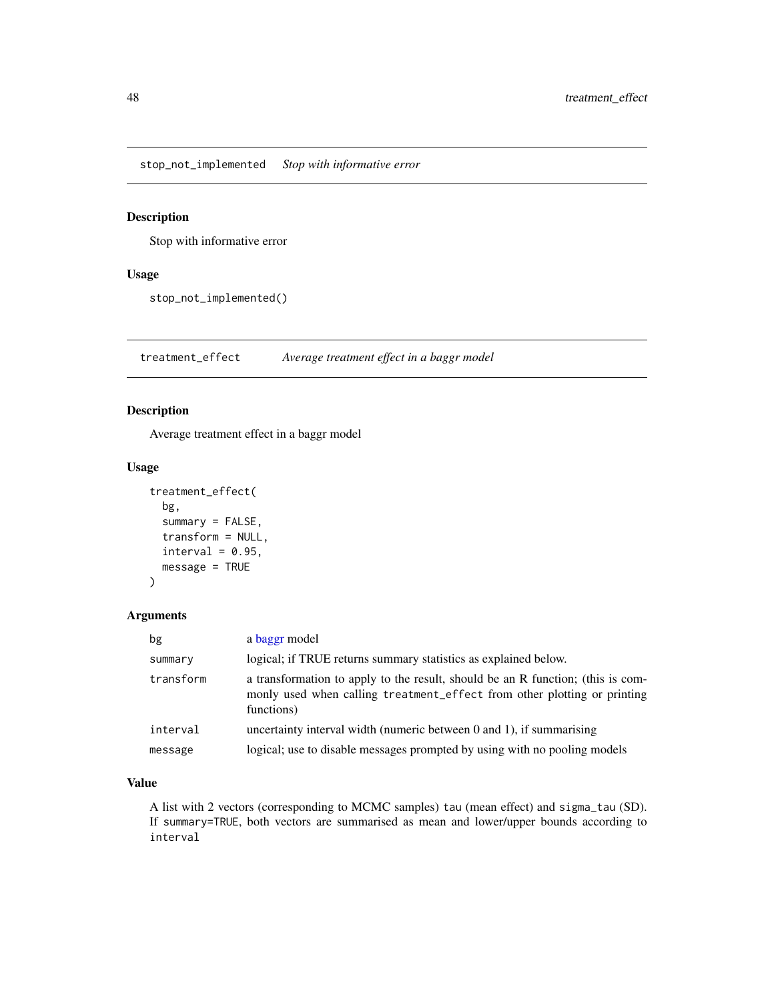<span id="page-47-0"></span>stop\_not\_implemented *Stop with informative error*

## Description

Stop with informative error

## Usage

stop\_not\_implemented()

<span id="page-47-1"></span>treatment\_effect *Average treatment effect in a baggr model*

## Description

Average treatment effect in a baggr model

## Usage

```
treatment_effect(
 bg,
  summary = FALSE,
  transform = NULL,
 interval = 0.95,message = TRUE
```
## )

## Arguments

| bg        | a baggr model                                                                                                                                                             |
|-----------|---------------------------------------------------------------------------------------------------------------------------------------------------------------------------|
| summary   | logical; if TRUE returns summary statistics as explained below.                                                                                                           |
| transform | a transformation to apply to the result, should be an R function; (this is com-<br>monly used when calling treatment_effect from other plotting or printing<br>functions) |
| interval  | uncertainty interval width (numeric between $0$ and $1$ ), if summarising                                                                                                 |
| message   | logical; use to disable messages prompted by using with no pooling models                                                                                                 |

## Value

A list with 2 vectors (corresponding to MCMC samples) tau (mean effect) and sigma\_tau (SD). If summary=TRUE, both vectors are summarised as mean and lower/upper bounds according to interval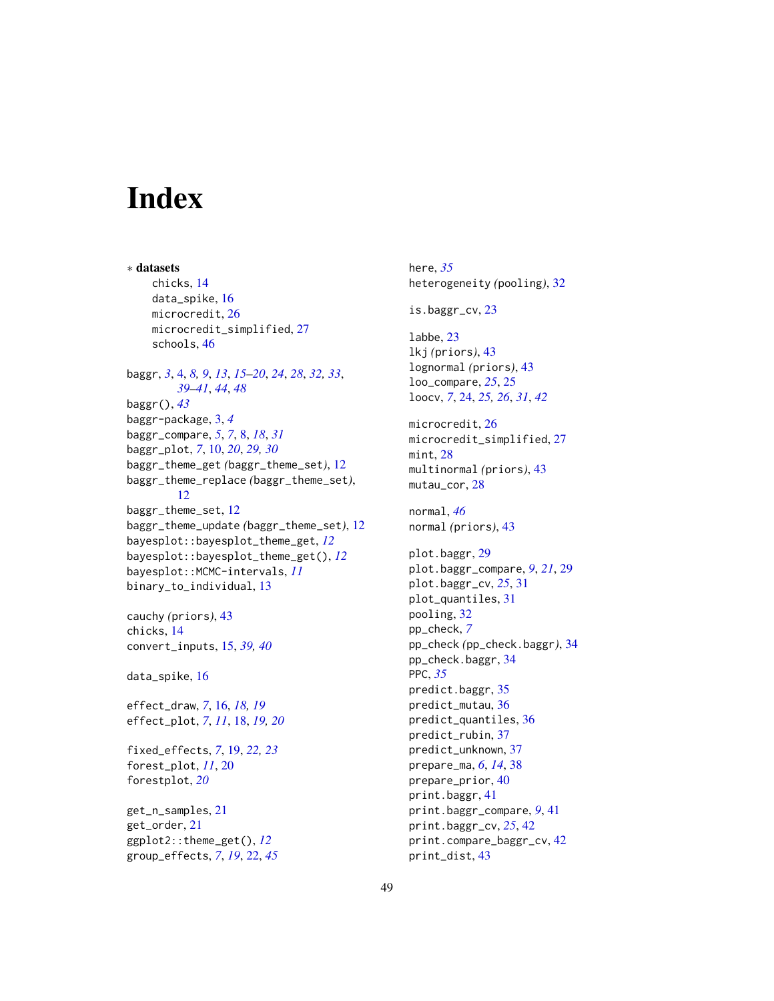# <span id="page-48-0"></span>**Index**

∗ datasets chicks, [14](#page-13-0) data\_spike, [16](#page-15-0) microcredit, [26](#page-25-0) microcredit\_simplified, [27](#page-26-0) schools, [46](#page-45-0) baggr, *[3](#page-2-0)*, [4,](#page-3-0) *[8,](#page-7-0) [9](#page-8-0)*, *[13](#page-12-0)*, *[15–](#page-14-0)[20](#page-19-0)*, *[24](#page-23-0)*, *[28](#page-27-0)*, *[32,](#page-31-0) [33](#page-32-0)*, *[39](#page-38-0)[–41](#page-40-0)*, *[44](#page-43-0)*, *[48](#page-47-0)* baggr(), *[43](#page-42-0)* baggr-package, [3,](#page-2-0) *[4](#page-3-0)* baggr\_compare, *[5](#page-4-0)*, *[7](#page-6-0)*, [8,](#page-7-0) *[18](#page-17-0)*, *[31](#page-30-0)* baggr\_plot, *[7](#page-6-0)*, [10,](#page-9-0) *[20](#page-19-0)*, *[29,](#page-28-0) [30](#page-29-0)* baggr\_theme\_get *(*baggr\_theme\_set*)*, [12](#page-11-0) baggr\_theme\_replace *(*baggr\_theme\_set*)*, [12](#page-11-0) baggr\_theme\_set, [12](#page-11-0) baggr\_theme\_update *(*baggr\_theme\_set*)*, [12](#page-11-0) bayesplot::bayesplot\_theme\_get, *[12](#page-11-0)* bayesplot::bayesplot\_theme\_get(), *[12](#page-11-0)* bayesplot::MCMC-intervals, *[11](#page-10-0)* binary\_to\_individual, [13](#page-12-0) cauchy *(*priors*)*, [43](#page-42-0) chicks, [14](#page-13-0) convert\_inputs, [15,](#page-14-0) *[39,](#page-38-0) [40](#page-39-0)* data\_spike, [16](#page-15-0) effect\_draw, *[7](#page-6-0)*, [16,](#page-15-0) *[18,](#page-17-0) [19](#page-18-0)* effect\_plot, *[7](#page-6-0)*, *[11](#page-10-0)*, [18,](#page-17-0) *[19,](#page-18-0) [20](#page-19-0)* fixed\_effects, *[7](#page-6-0)*, [19,](#page-18-0) *[22,](#page-21-0) [23](#page-22-0)* forest\_plot, *[11](#page-10-0)*, [20](#page-19-0) forestplot, *[20](#page-19-0)* get\_n\_samples, [21](#page-20-0)

get\_order, [21](#page-20-0) ggplot2::theme\_get(), *[12](#page-11-0)* group\_effects, *[7](#page-6-0)*, *[19](#page-18-0)*, [22,](#page-21-0) *[45](#page-44-0)*

here, *[35](#page-34-0)* heterogeneity *(*pooling*)*, [32](#page-31-0) is.baggr\_cv, [23](#page-22-0) labbe, [23](#page-22-0) lkj *(*priors*)*, [43](#page-42-0) lognormal *(*priors*)*, [43](#page-42-0) loo\_compare, *[25](#page-24-0)*, [25](#page-24-0) loocv, *[7](#page-6-0)*, [24,](#page-23-0) *[25,](#page-24-0) [26](#page-25-0)*, *[31](#page-30-0)*, *[42](#page-41-0)* microcredit, [26](#page-25-0) microcredit\_simplified, [27](#page-26-0) mint, [28](#page-27-0) multinormal *(*priors*)*, [43](#page-42-0) mutau\_cor, [28](#page-27-0) normal, *[46](#page-45-0)* normal *(*priors*)*, [43](#page-42-0) plot.baggr, [29](#page-28-0) plot.baggr\_compare, *[9](#page-8-0)*, *[21](#page-20-0)*, [29](#page-28-0) plot.baggr\_cv, *[25](#page-24-0)*, [31](#page-30-0) plot\_quantiles, [31](#page-30-0) pooling, [32](#page-31-0) pp\_check, *[7](#page-6-0)* pp\_check *(*pp\_check.baggr*)*, [34](#page-33-0) pp\_check.baggr, [34](#page-33-0) PPC, *[35](#page-34-0)* predict.baggr, [35](#page-34-0) predict\_mutau, [36](#page-35-0) predict\_quantiles, [36](#page-35-0) predict\_rubin, [37](#page-36-0) predict\_unknown, [37](#page-36-0) prepare\_ma, *[6](#page-5-0)*, *[14](#page-13-0)*, [38](#page-37-0) prepare\_prior, [40](#page-39-0) print.baggr, [41](#page-40-0) print.baggr\_compare, *[9](#page-8-0)*, [41](#page-40-0) print.baggr\_cv, *[25](#page-24-0)*, [42](#page-41-0) print.compare\_baggr\_cv, [42](#page-41-0) print\_dist, [43](#page-42-0)